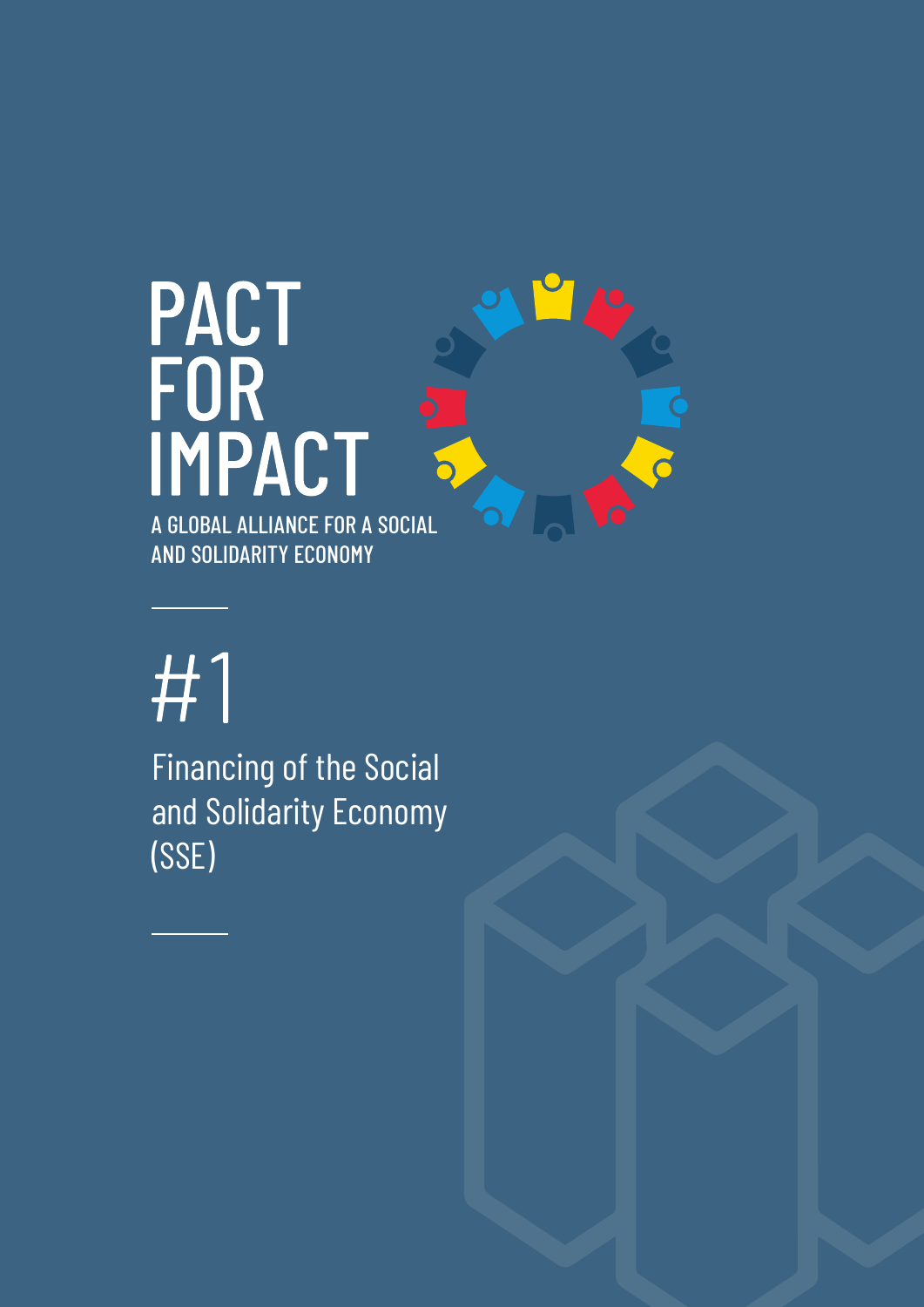# **PACT<br>FOR<br>IMPACT<br>A GLOBAL ALLIANCE FOR A SOCIAL** AND SOLIDARITY ECONOMY

## #1

Financing of the Social and Solidarity Economy (SSE)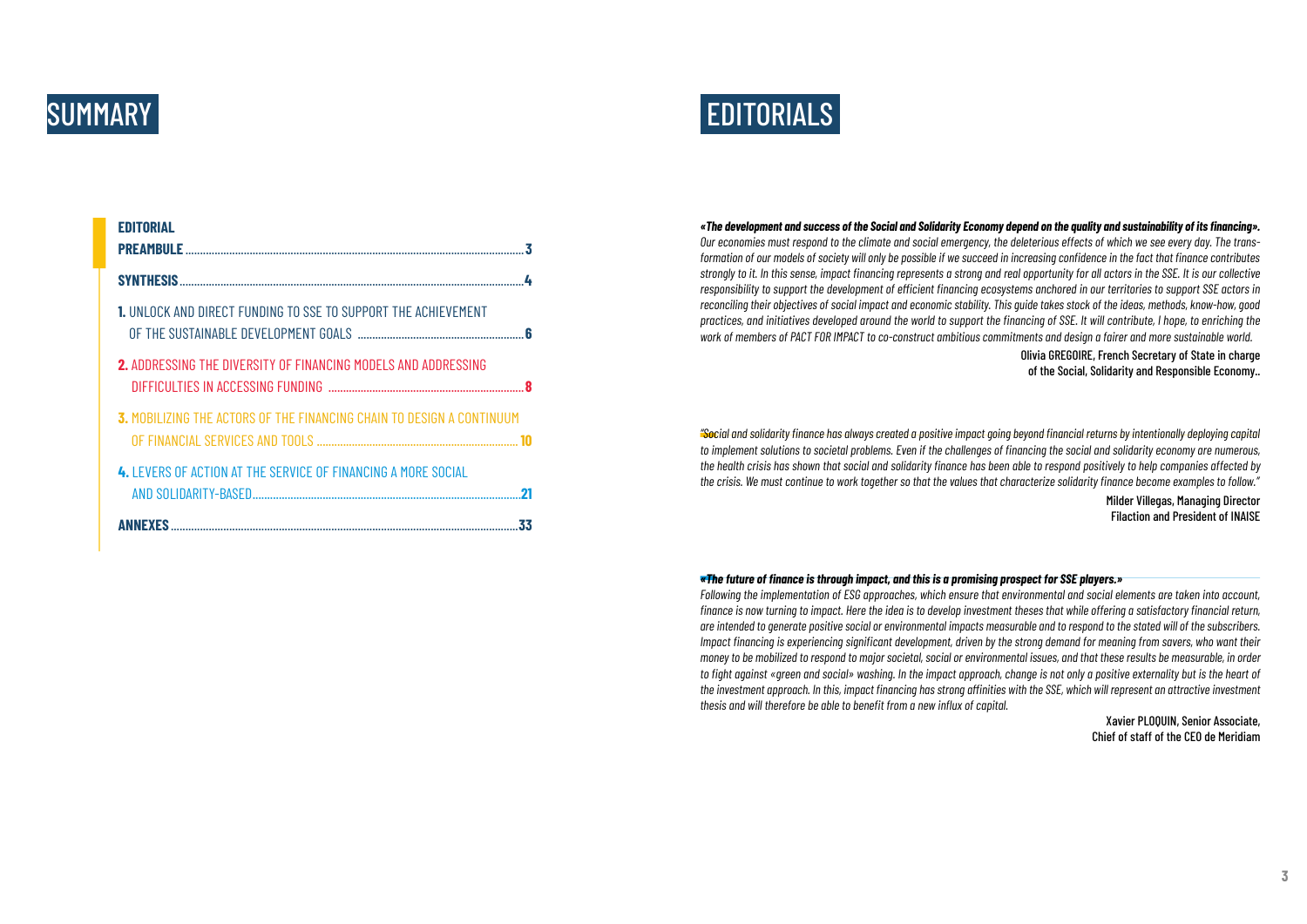| <b>EDITORIAL</b>                                                             | 3  |
|------------------------------------------------------------------------------|----|
|                                                                              |    |
| <b>1.</b> UNLOCK AND DIRECT FUNDING TO SSE TO SUPPORT THE ACHIEVEMENT        |    |
| <b>2.</b> ADDRESSING THE DIVERSITY OF FINANCING MODELS AND ADDRESSING        |    |
| <b>3. MOBILIZING THE ACTORS OF THE FINANCING CHAIN TO DESIGN A CONTINUUM</b> |    |
| 4. LEVERS OF ACTION AT THE SERVICE OF FINANCING A MORE SOCIAL                | 21 |
| <b>ANNEXES</b>                                                               | 33 |

## SUMMARY TERMS EDITORIALS

*«The development and success of the Social and Solidarity Economy depend on the quality and sustainability of its financing». Our economies must respond to the climate and social emergency, the deleterious effects of which we see every day. The transformation of our models of society will only be possible if we succeed in increasing confidence in the fact that finance contributes strongly to it. In this sense, impact financing represents a strong and real opportunity for all actors in the SSE. It is our collective responsibility to support the development of efficient financing ecosystems anchored in our territories to support SSE actors in reconciling their objectives of social impact and economic stability. This guide takes stock of the ideas, methods, know-how, good practices, and initiatives developed around the world to support the financing of SSE. It will contribute, I hope, to enriching the work of members of PACT FOR IMPACT to co-construct ambitious commitments and design a fairer and more sustainable world.*

#### Olivia GREGOIRE, French Secretary of State in charge of the Social, Solidarity and Responsible Economy..

*"Social and solidarity finance has always created a positive impact going beyond financial returns by intentionally deploying capital to implement solutions to societal problems. Even if the challenges of financing the social and solidarity economy are numerous, the health crisis has shown that social and solidarity finance has been able to respond positively to help companies affected by the crisis. We must continue to work together so that the values that characterize solidarity finance become examples to follow."*

> Milder Villegas, Managing Director Filaction and President of INAISE

*«The future of finance is through impact, and this is a promising prospect for SSE players.»*

*Following the implementation of ESG approaches, which ensure that environmental and social elements are taken into account, finance is now turning to impact. Here the idea is to develop investment theses that while offering a satisfactory financial return, are intended to generate positive social or environmental impacts measurable and to respond to the stated will of the subscribers. Impact financing is experiencing significant development, driven by the strong demand for meaning from savers, who want their money to be mobilized to respond to major societal, social or environmental issues, and that these results be measurable, in order to fight against «green and social» washing. In the impact approach, change is not only a positive externality but is the heart of the investment approach. In this, impact financing has strong affinities with the SSE, which will represent an attractive investment thesis and will therefore be able to benefit from a new influx of capital.*

Xavier PLOQUIN, Senior Associate, Chief of staff of the CEO de Meridiam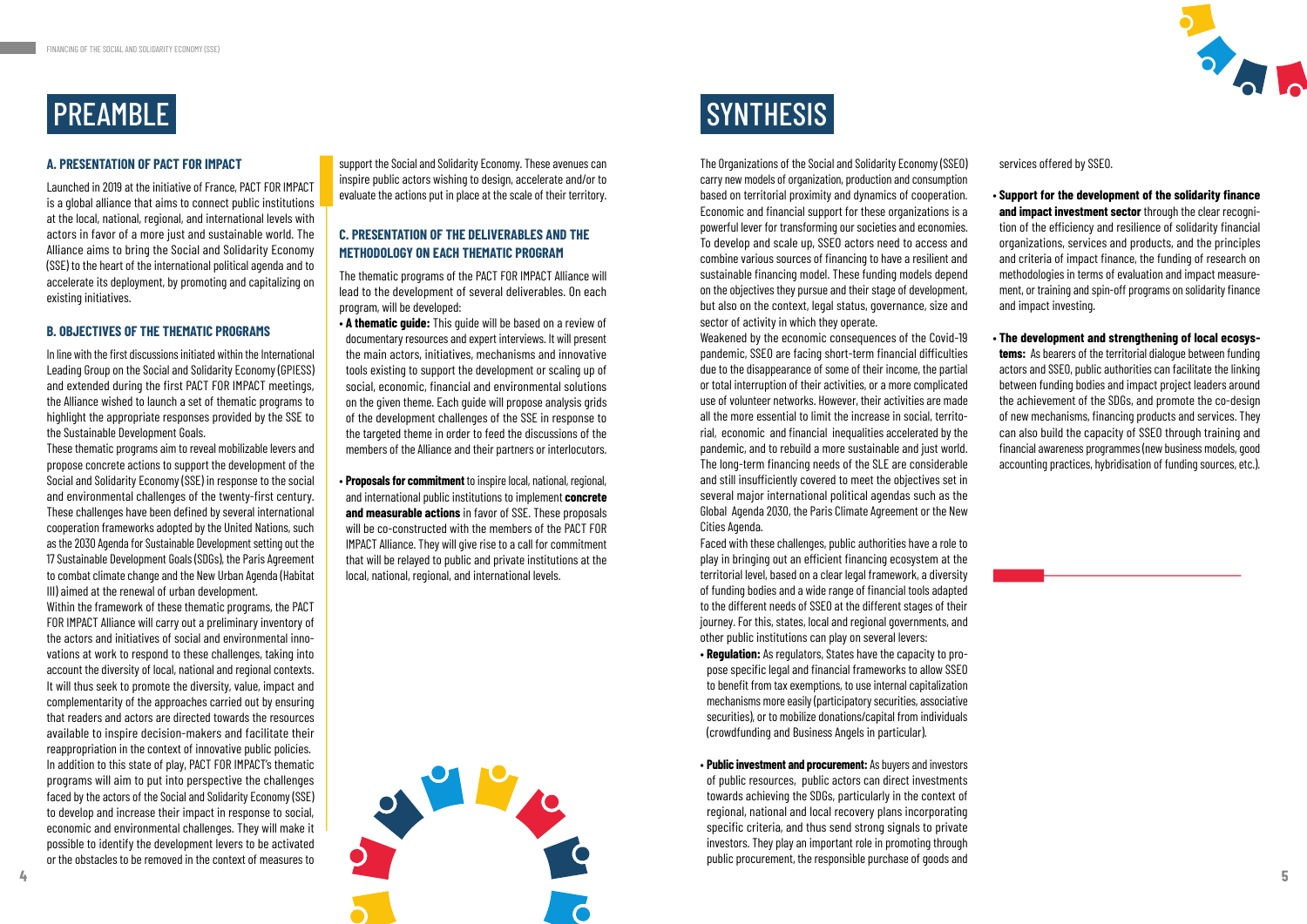

## PREAMBLE SYNTHESIS

#### **A. PRESENTATION OF PACT FOR IMPACT**

Launched in 2019 at the initiative of France, PACT FOR IMPACT is a global alliance that aims to connect public institutions at the local, national, regional, and international levels with actors in favor of a more just and sustainable world. The Alliance aims to bring the Social and Solidarity Economy (SSE) to the heart of the international political agenda and to accelerate its deployment, by promoting and capitalizing on existing initiatives.

#### **B. OBJECTIVES OF THE THEMATIC PROGRAMS**

In line with the first discussions initiated within the International Leading Group on the Social and Solidarity Economy (GPIESS) and extended during the first PACT FOR IMPACT meetings, the Alliance wished to launch a set of thematic programs to highlight the appropriate responses provided by the SSE to the Sustainable Development Goals.

These thematic programs aim to reveal mobilizable levers and propose concrete actions to support the development of the Social and Solidarity Economy (SSE) in response to the social and environmental challenges of the twenty-first century. These challenges have been defined by several international cooperation frameworks adopted by the United Nations, such as the 2030 Agenda for Sustainable Development setting out the 17 Sustainable Development Goals (SDGs), the Paris Agreement to combat climate change and the New Urban Agenda (Habitat III) aimed at the renewal of urban development.

Within the framework of these thematic programs, the PACT FOR IMPACT Alliance will carry out a preliminary inventory of the actors and initiatives of social and environmental innovations at work to respond to these challenges, taking into account the diversity of local, national and regional contexts. It will thus seek to promote the diversity, value, impact and complementarity of the approaches carried out by ensuring that readers and actors are directed towards the resources available to inspire decision-makers and facilitate their reappropriation in the context of innovative public policies. In addition to this state of play, PACT FOR IMPACT's thematic programs will aim to put into perspective the challenges faced by the actors of the Social and Solidarity Economy (SSE) to develop and increase their impact in response to social, economic and environmental challenges. They will make it possible to identify the development levers to be activated or the obstacles to be removed in the context of measures to

support the Social and Solidarity Economy. These avenues can inspire public actors wishing to design, accelerate and/or to evaluate the actions put in place at the scale of their territory.

#### **C. PRESENTATION OF THE DELIVERABLES AND THE METHODOLOGY ON EACH THEMATIC PROGRAM**

The thematic programs of the PACT FOR IMPACT Alliance will lead to the development of several deliverables. On each program, will be developed:

- **A thematic guide:** This guide will be based on a review of documentary resources and expert interviews. It will present the main actors, initiatives, mechanisms and innovative tools existing to support the development or scaling up of social, economic, financial and environmental solutions on the given theme. Each guide will propose analysis grids of the development challenges of the SSE in response to the targeted theme in order to feed the discussions of the members of the Alliance and their partners or interlocutors.
- **Proposals for commitment** to inspire local, national, regional, and international public institutions to implement **concrete and measurable actions** in favor of SSE. These proposals will be co-constructed with the members of the PACT FOR IMPACT Alliance. They will give rise to a call for commitment that will be relayed to public and private institutions at the local, national, regional, and international levels.

The Organizations of the Social and Solidarity Economy (SSEO) carry new models of organization, production and consumption based on territorial proximity and dynamics of cooperation. Economic and financial support for these organizations is a powerful lever for transforming our societies and economies. To develop and scale up, SSEO actors need to access and combine various sources of financing to have a resilient and sustainable financing model. These funding models depend on the objectives they pursue and their stage of development, but also on the context, legal status, governance, size and sector of activity in which they operate.

Weakened by the economic consequences of the Covid-19 pandemic, SSEO are facing short-term financial difficulties due to the disappearance of some of their income, the partial or total interruption of their activities, or a more complicated use of volunteer networks. However, their activities are made all the more essential to limit the increase in social, territorial, economic and financial inequalities accelerated by the pandemic, and to rebuild a more sustainable and just world. The long-term financing needs of the SLE are considerable and still insufficiently covered to meet the objectives set in several major international political agendas such as the Global Agenda 2030, the Paris Climate Agreement or the New Cities Agenda.

Faced with these challenges, public authorities have a role to play in bringing out an efficient financing ecosystem at the territorial level, based on a clear legal framework, a diversity of funding bodies and a wide range of financial tools adapted to the different needs of SSEO at the different stages of their journey. For this, states, local and regional governments, and other public institutions can play on several levers:

- **Regulation:** As regulators, States have the capacity to propose specific legal and financial frameworks to allow SSEO to benefit from tax exemptions, to use internal capitalization mechanisms more easily (participatory securities, associative securities), or to mobilize donations/capital from individuals (crowdfunding and Business Angels in particular).
- **Public investment and procurement:** As buyers and investors of public resources, public actors can direct investments towards achieving the SDGs, particularly in the context of regional, national and local recovery plans incorporating specific criteria, and thus send strong signals to private investors. They play an important role in promoting through public procurement, the responsible purchase of goods and



services offered by SSEO.

- **Support for the development of the solidarity finance and impact investment sector** through the clear recognition of the efficiency and resilience of solidarity financial organizations, services and products, and the principles and criteria of impact finance, the funding of research on methodologies in terms of evaluation and impact measurement, or training and spin-off programs on solidarity finance and impact investing.
- **The development and strengthening of local ecosystems:** As bearers of the territorial dialogue between funding actors and SSEO, public authorities can facilitate the linking between funding bodies and impact project leaders around the achievement of the SDGs, and promote the co-design of new mechanisms, financing products and services. They can also build the capacity of SSEO through training and financial awareness programmes (new business models, good accounting practices, hybridisation of funding sources, etc.).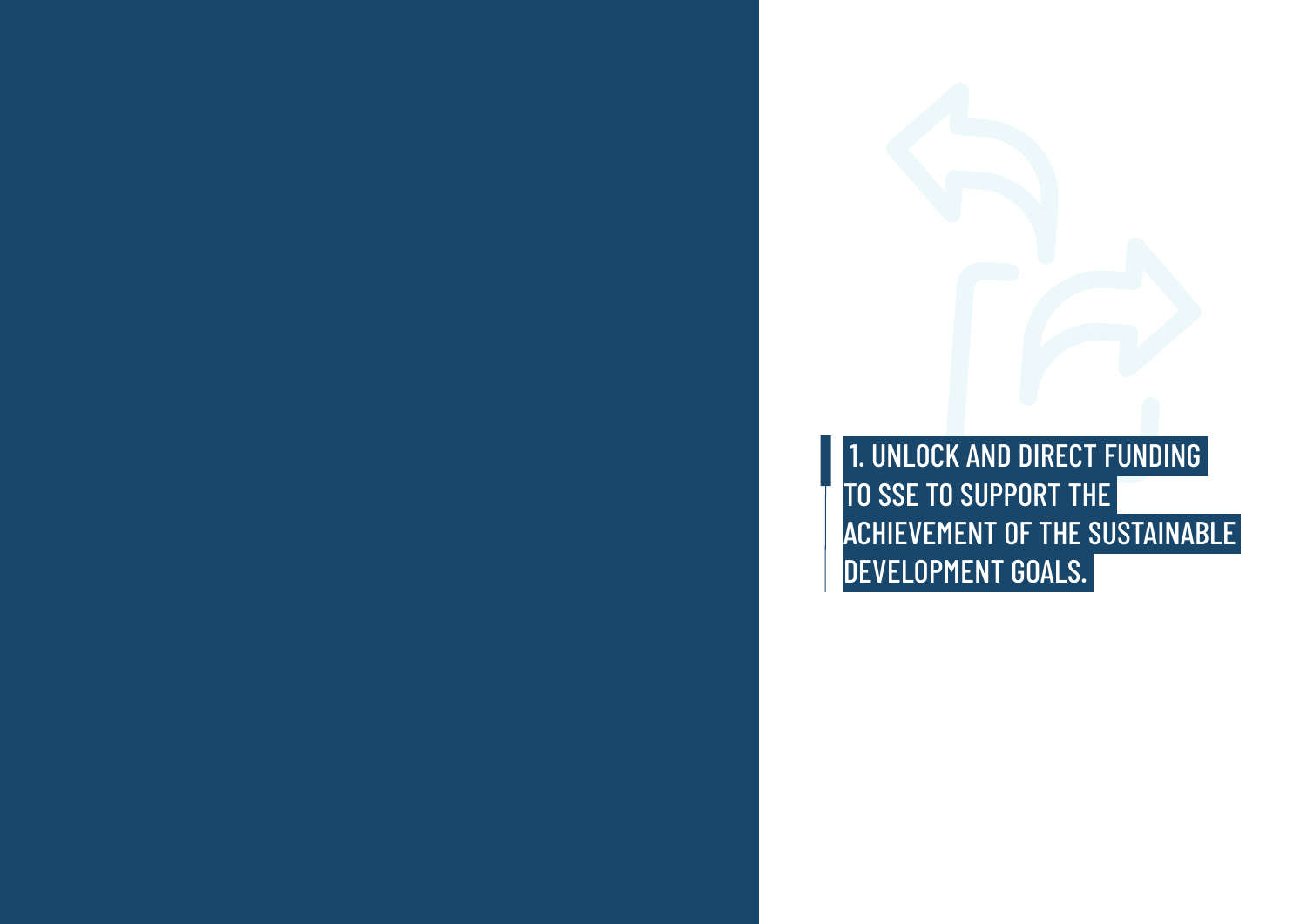## 1. UNLOCK AND DIRECT FUNDING ACHIEVEMENT OF THE SUSTAINABLE

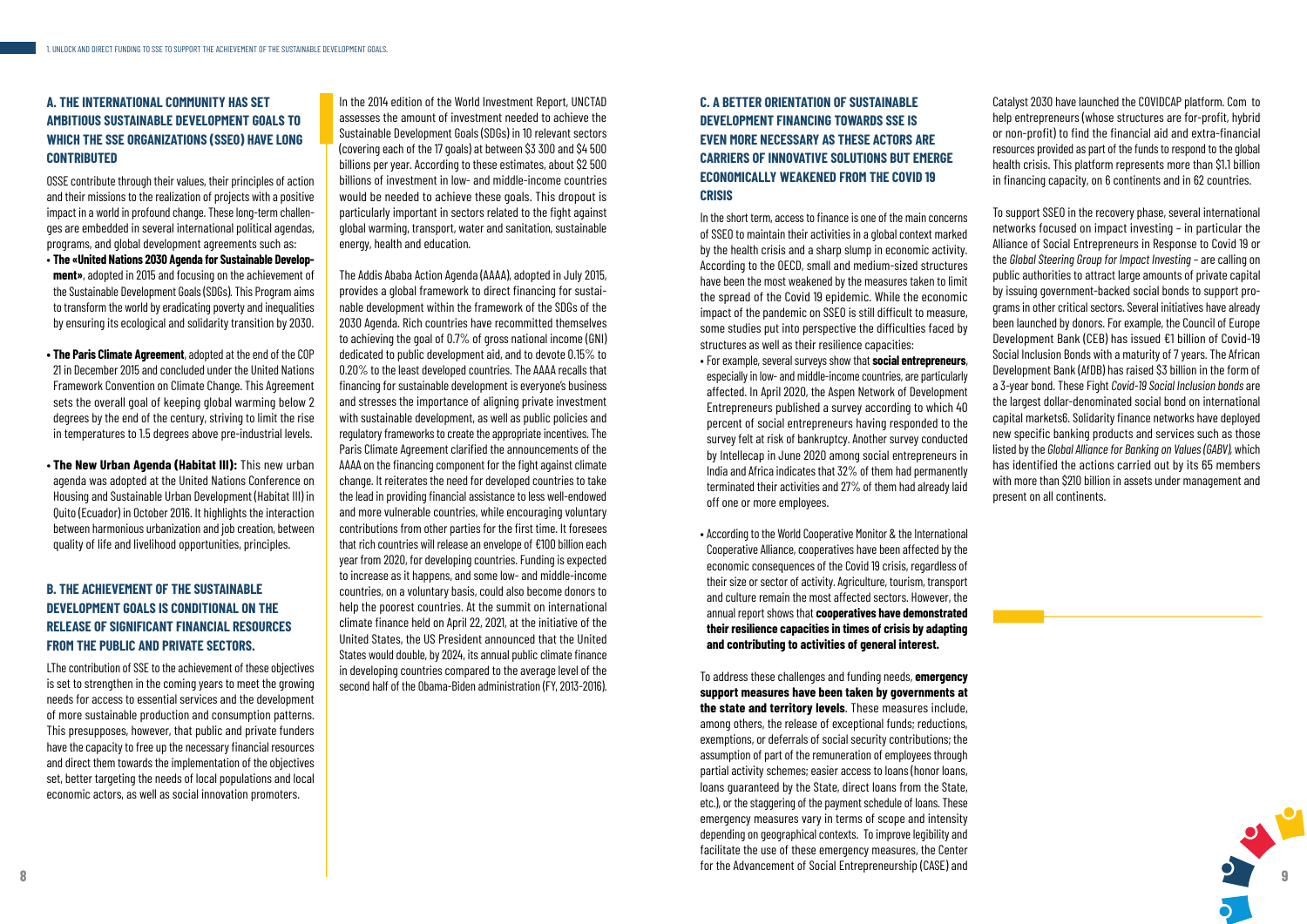

### **A. THE INTERNATIONAL COMMUNITY HAS SET AMBITIOUS SUSTAINABLE DEVELOPMENT GOALS TO WHICH THE SSE ORGANIZATIONS (SSEO) HAVE LONG CONTRIBUTED**

OSSE contribute through their values, their principles of action and their missions to the realization of projects with a positive impact in a world in profound change. These long-term challenges are embedded in several international political agendas, programs, and global development agreements such as:

- **The «United Nations 2030 Agenda for Sustainable Development»**, adopted in 2015 and focusing on the achievement of the Sustainable Development Goals (SDGs). This Program aims to transform the world by eradicating poverty and inequalities by ensuring its ecological and solidarity transition by 2030.
- **The Paris Climate Agreement**, adopted at the end of the COP 21 in December 2015 and concluded under the United Nations Framework Convention on Climate Change. This Agreement sets the overall goal of keeping global warming below 2 degrees by the end of the century, striving to limit the rise in temperatures to 1.5 degrees above pre-industrial levels.
- **The New Urban Agenda (Habitat III):** This new urban agenda was adopted at the United Nations Conference on Housing and Sustainable Urban Development (Habitat III) in Quito (Ecuador) in October 2016. It highlights the interaction between harmonious urbanization and job creation, between quality of life and livelihood opportunities, principles.

## **B. THE ACHIEVEMENT OF THE SUSTAINABLE DEVELOPMENT GOALS IS CONDITIONAL ON THE RELEASE OF SIGNIFICANT FINANCIAL RESOURCES FROM THE PUBLIC AND PRIVATE SECTORS.**

LThe contribution of SSE to the achievement of these objectives is set to strengthen in the coming years to meet the growing needs for access to essential services and the development of more sustainable production and consumption patterns. This presupposes, however, that public and private funders have the capacity to free up the necessary financial resources and direct them towards the implementation of the objectives set, better targeting the needs of local populations and local economic actors, as well as social innovation promoters.

In the 2014 edition of the World Investment Report, UNCTAD assesses the amount of investment needed to achieve the Sustainable Development Goals (SDGs) in 10 relevant sectors (covering each of the 17 goals) at between \$3 300 and \$4 500 billions per year. According to these estimates, about \$2 500 billions of investment in low- and middle-income countries would be needed to achieve these goals. This dropout is particularly important in sectors related to the fight against global warming, transport, water and sanitation, sustainable energy, health and education.

The Addis Ababa Action Agenda (AAAA), adopted in July 2015, provides a global framework to direct financing for sustainable development within the framework of the SDGs of the 2030 Agenda. Rich countries have recommitted themselves to achieving the goal of 0.7% of gross national income (GNI) dedicated to public development aid, and to devote 0.15% to 0.20% to the least developed countries. The AAAA recalls that financing for sustainable development is everyone's business and stresses the importance of aligning private investment with sustainable development, as well as public policies and regulatory frameworks to create the appropriate incentives. The Paris Climate Agreement clarified the announcements of the AAAA on the financing component for the fight against climate change. It reiterates the need for developed countries to take the lead in providing financial assistance to less well-endowed and more vulnerable countries, while encouraging voluntary contributions from other parties for the first time. It foresees that rich countries will release an envelope of €100 billion each year from 2020, for developing countries. Funding is expected to increase as it happens, and some low- and middle-income countries, on a voluntary basis, could also become donors to help the poorest countries. At the summit on international climate finance held on April 22, 2021, at the initiative of the United States, the US President announced that the United States would double, by 2024, its annual public climate finance in developing countries compared to the average level of the second half of the Obama-Biden administration (FY, 2013-2016).

## **C. A BETTER ORIENTATION OF SUSTAINABLE DEVELOPMENT FINANCING TOWARDS SSE IS EVEN MORE NECESSARY AS THESE ACTORS ARE CARRIERS OF INNOVATIVE SOLUTIONS BUT EMERGE ECONOMICALLY WEAKENED FROM THE COVID 19 CRISIS**

In the short term, access to finance is one of the main concerns of SSEO to maintain their activities in a global context marked by the health crisis and a sharp slump in economic activity. According to the OECD, small and medium-sized structures have been the most weakened by the measures taken to limit the spread of the Covid 19 epidemic. While the economic impact of the pandemic on SSEO is still difficult to measure, some studies put into perspective the difficulties faced by structures as well as their resilience capacities:

- For example, several surveys show that **social entrepreneurs**, especially in low- and middle-income countries, are particularly affected. In April 2020, the Aspen Network of Development Entrepreneurs published a survey according to which 40 percent of social entrepreneurs having responded to the survey felt at risk of bankruptcy. Another survey conducted by Intellecap in June 2020 among social entrepreneurs in India and Africa indicates that 32% of them had permanently terminated their activities and 27% of them had already laid off one or more employees.
- According to the World Cooperative Monitor & the International Cooperative Alliance, cooperatives have been affected by the economic consequences of the Covid 19 crisis, regardless of their size or sector of activity. Agriculture, tourism, transport and culture remain the most affected sectors. However, the annual report shows that **cooperatives have demonstrated their resilience capacities in times of crisis by adapting and contributing to activities of general interest.**

To address these challenges and funding needs, **emergency support measures have been taken by governments at the state and territory levels**. These measures include, among others, the release of exceptional funds; reductions, exemptions, or deferrals of social security contributions; the assumption of part of the remuneration of employees through partial activity schemes; easier access to loans (honor loans, loans guaranteed by the State, direct loans from the State, etc.), or the staggering of the payment schedule of loans. These emergency measures vary in terms of scope and intensity depending on geographical contexts. To improve legibility and facilitate the use of these emergency measures, the Center for the Advancement of Social Entrepreneurship (CASE) and

Catalyst 2030 have launched the COVIDCAP platform. Com to help entrepreneurs (whose structures are for-profit, hybrid or non-profit) to find the financial aid and extra-financial resources provided as part of the funds to respond to the global health crisis. This platform represents more than \$1.1 billion in financing capacity, on 6 continents and in 62 countries.

To support SSEO in the recovery phase, several international networks focused on impact investing – in particular the Alliance of Social Entrepreneurs in Response to Covid 19 or the *Global Steering Group for Impact Investing* – are calling on public authorities to attract large amounts of private capital by issuing government-backed social bonds to support programs in other critical sectors. Several initiatives have already been launched by donors. For example, the Council of Europe Development Bank (CEB) has issued €1 billion of Covid-19 Social Inclusion Bonds with a maturity of 7 years. The African Development Bank (AfDB) has raised \$3 billion in the form of a 3-year bond. These Fight *Covid-19 Social Inclusion bonds* are the largest dollar-denominated social bond on international capital markets6. Solidarity finance networks have deployed new specific banking products and services such as those listed by the *Global Alliance for Banking on Values (GABV),* which has identified the actions carried out by its 65 members with more than \$210 billion in assets under management and present on all continents.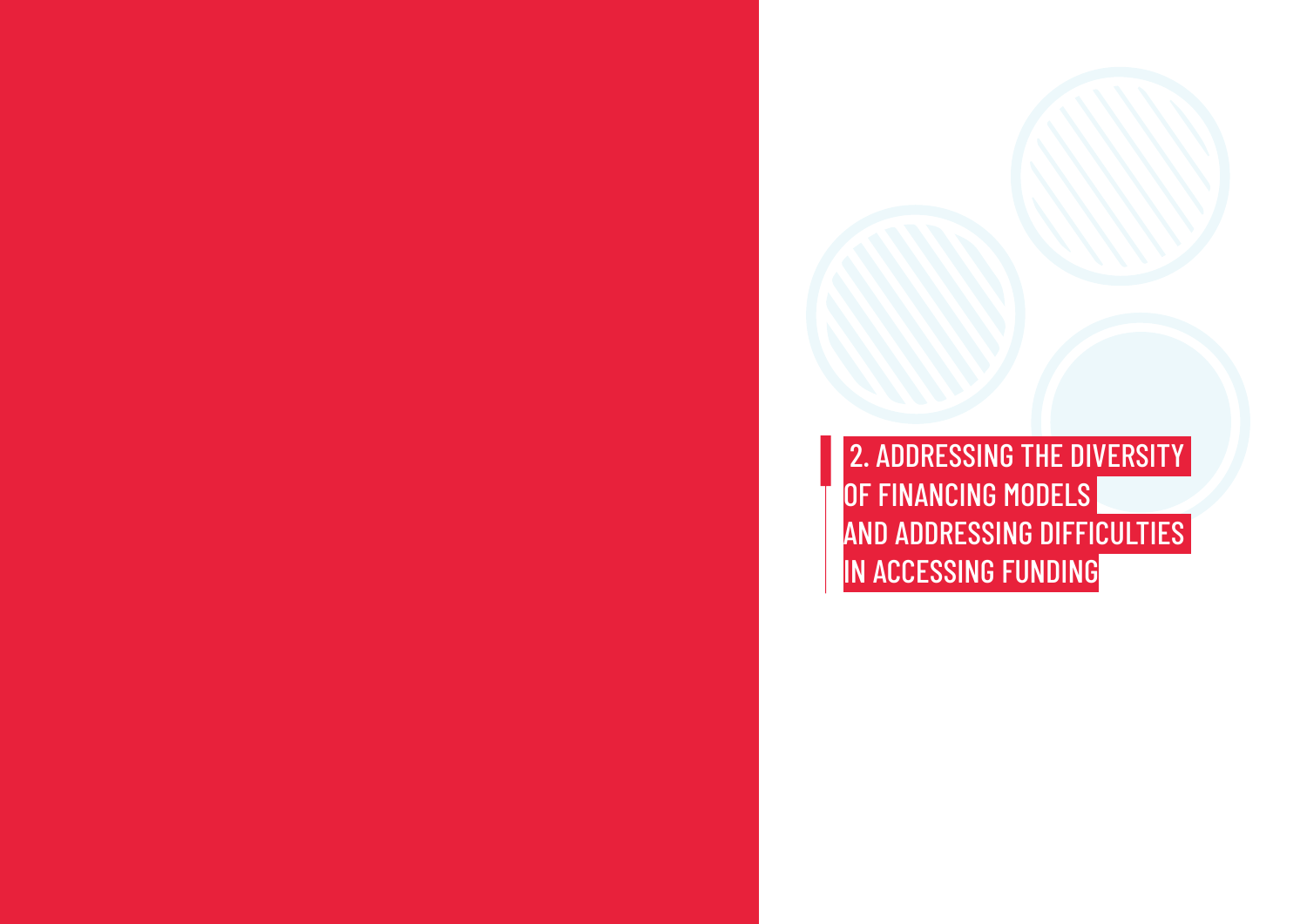OF FINANCING MODELS IN ACCESSING FUNDING

# 2. ADDRESSING THE DIVERSITY AND ADDRESSING DIFFICULTIES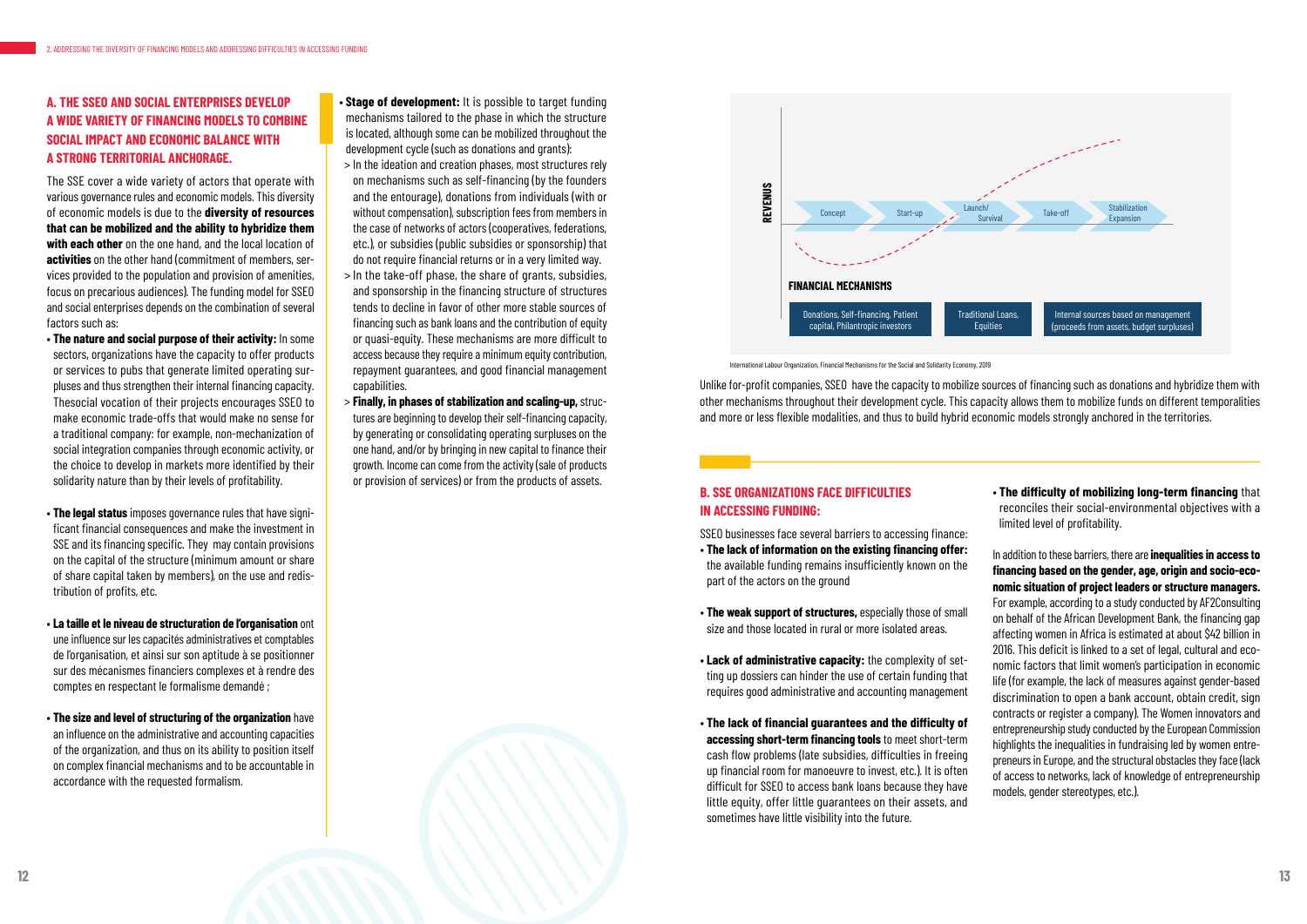### **A. THE SSEO AND SOCIAL ENTERPRISES DEVELOP A WIDE VARIETY OF FINANCING MODELS TO COMBINE SOCIAL IMPACT AND ECONOMIC BALANCE WITH A STRONG TERRITORIAL ANCHORAGE.**

The SSE cover a wide variety of actors that operate with various governance rules and economic models. This diversity of economic models is due to the **diversity of resources that can be mobilized and the ability to hybridize them with each other** on the one hand, and the local location of **activities** on the other hand (commitment of members, services provided to the population and provision of amenities, focus on precarious audiences). The funding model for SSEO and social enterprises depends on the combination of several factors such as:

- **The nature and social purpose of their activity:** In some sectors, organizations have the capacity to offer products or services to pubs that generate limited operating surpluses and thus strengthen their internal financing capacity. Thesocial vocation of their projects encourages SSEO to make economic trade-offs that would make no sense for a traditional company: for example, non-mechanization of social integration companies through economic activity, or the choice to develop in markets more identified by their solidarity nature than by their levels of profitability.
- **The legal status** imposes governance rules that have significant financial consequences and make the investment in SSE and its financing specific. They may contain provisions on the capital of the structure (minimum amount or share of share capital taken by members), on the use and redistribution of profits, etc.
- **La taille et le niveau de structuration de l'organisation** ont une influence sur les capacités administratives et comptables de l'organisation, et ainsi sur son aptitude à se positionner sur des mécanismes financiers complexes et à rendre des comptes en respectant le formalisme demandé ;
- **The size and level of structuring of the organization** have an influence on the administrative and accounting capacities of the organization, and thus on its ability to position itself on complex financial mechanisms and to be accountable in accordance with the requested formalism.
- **Stage of development:** It is possible to target funding mechanisms tailored to the phase in which the structure is located, although some can be mobilized throughout the development cycle (such as donations and grants):
- > In the ideation and creation phases, most structures rely on mechanisms such as self-financing (by the founders and the entourage), donations from individuals (with or without compensation), subscription fees from members in the case of networks of actors (cooperatives, federations, etc.), or subsidies (public subsidies or sponsorship) that do not require financial returns or in a very limited way.
- > In the take-off phase, the share of grants, subsidies, and sponsorship in the financing structure of structures tends to decline in favor of other more stable sources of financing such as bank loans and the contribution of equity or quasi-equity. These mechanisms are more difficult to access because they require a minimum equity contribution, repayment guarantees, and good financial management capabilities.
- > **Finally, in phases of stabilization and scaling-up,** structures are beginning to develop their self-financing capacity, by generating or consolidating operating surpluses on the one hand, and/or by bringing in new capital to finance their growth. Income can come from the activity (sale of products or provision of services) or from the products of assets.

Unlike for-profit companies, SSEO have the capacity to mobilize sources of financing such as donations and hybridize them with other mechanisms throughout their development cycle. This capacity allows them to mobilize funds on different temporalities and more or less flexible modalities, and thus to build hybrid economic models strongly anchored in the territories.

International Labour Organization, Financial Mechanisms for the Social and Solidarity Economy, 2019

### **B. SSE ORGANIZATIONS FACE DIFFICULTIES IN ACCESSING FUNDING:**

SSEO businesses face several barriers to accessing finance:

- **The lack of information on the existing financing offer:**  the available funding remains insufficiently known on the part of the actors on the ground
- **The weak support of structures,** especially those of small size and those located in rural or more isolated areas.
- **Lack of administrative capacity:** the complexity of setting up dossiers can hinder the use of certain funding that requires good administrative and accounting management
- **The lack of financial guarantees and the difficulty of accessing short-term financing tools** to meet short-term cash flow problems (late subsidies, difficulties in freeing up financial room for manoeuvre to invest, etc.). It is often difficult for SSEO to access bank loans because they have little equity, offer little guarantees on their assets, and sometimes have little visibility into the future.

• **The difficulty of mobilizing long-term financing** that reconciles their social-environmental objectives with a limited level of profitability.

In addition to these barriers, there are **inequalities in access to financing based on the gender, age, origin and socio-economic situation of project leaders or structure managers.** For example, according to a study conducted by AF2Consulting on behalf of the African Development Bank, the financing gap affecting women in Africa is estimated at about \$42 billion in 2016. This deficit is linked to a set of legal, cultural and economic factors that limit women's participation in economic life (for example, the lack of measures against gender-based discrimination to open a bank account, obtain credit, sign contracts or register a company). The Women innovators and entrepreneurship study conducted by the European Commission highlights the inequalities in fundraising led by women entrepreneurs in Europe, and the structural obstacles they face (lack of access to networks, lack of knowledge of entrepreneurship models, gender stereotypes, etc.).

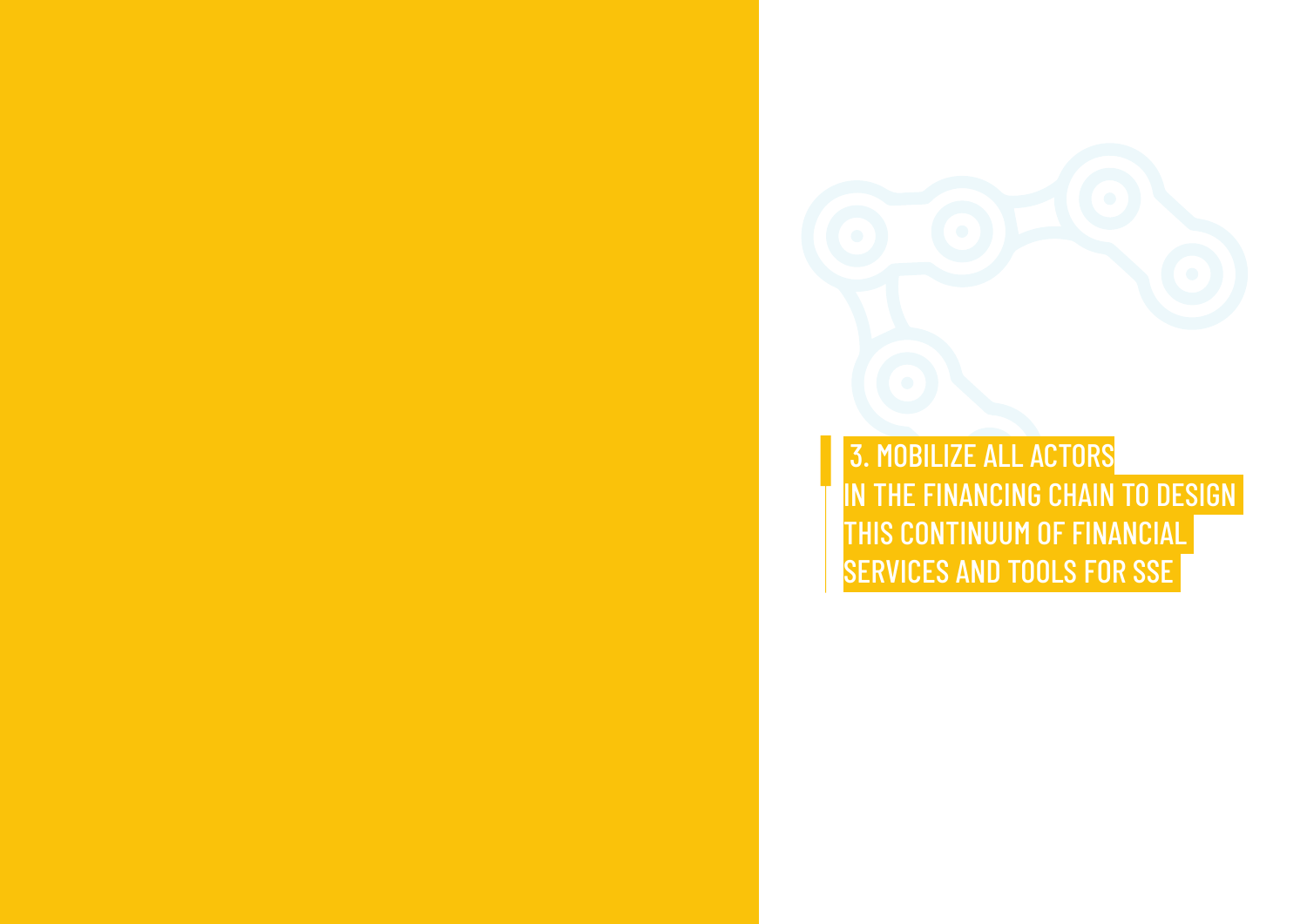3. MOBILIZE ALL ACTORS IN THE FINANCING CHAIN TO DESIGN THIS CONTINUUM OF FINANCIAL SERVICES AND TOOLS FOR SSE

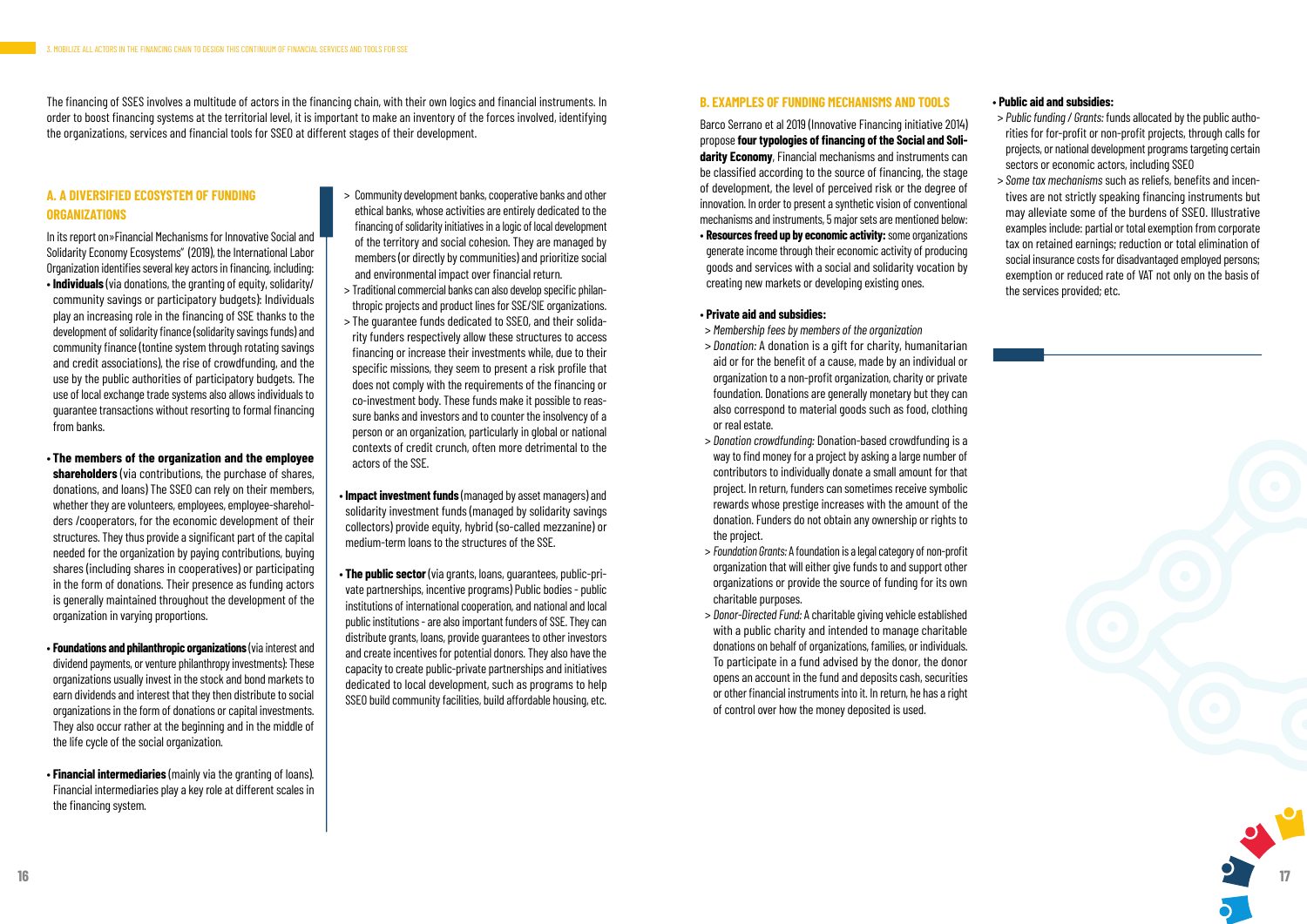#### **A. A DIVERSIFIED ECOSYSTEM OF FUNDING ORGANIZATIONS**

In its report on»Financial Mechanisms for Innovative Social and Solidarity Economy Ecosystems" (2019), the International Labor Organization identifies several key actors in financing, including:

- **Individuals** (via donations, the granting of equity, solidarity/ community savings or participatory budgets): Individuals play an increasing role in the financing of SSE thanks to the development of solidarity finance (solidarity savings funds) and community finance (tontine system through rotating savings and credit associations), the rise of crowdfunding, and the use by the public authorities of participatory budgets. The use of local exchange trade systems also allows individuals to guarantee transactions without resorting to formal financing from banks.
- **The members of the organization and the employee shareholders** (via contributions, the purchase of shares, donations, and loans) The SSEO can rely on their members, whether they are volunteers, employees, employee-shareholders /cooperators, for the economic development of their structures. They thus provide a significant part of the capital needed for the organization by paying contributions, buying shares (including shares in cooperatives) or participating in the form of donations. Their presence as funding actors is generally maintained throughout the development of the organization in varying proportions.
- **Foundations and philanthropic organizations** (via interest and dividend payments, or venture philanthropy investments): These organizations usually invest in the stock and bond markets to earn dividends and interest that they then distribute to social organizations in the form of donations or capital investments. They also occur rather at the beginning and in the middle of the life cycle of the social organization.
- **Financial intermediaries** (mainly via the granting of loans). Financial intermediaries play a key role at different scales in the financing system.
- > Community development banks, cooperative banks and other ethical banks, whose activities are entirely dedicated to the financing of solidarity initiatives in a logic of local development of the territory and social cohesion. They are managed by members (or directly by communities) and prioritize social and environmental impact over financial return.
- > Traditional commercial banks can also develop specific philanthropic projects and product lines for SSE/SIE organizations.
- > The guarantee funds dedicated to SSEO, and their solidarity funders respectively allow these structures to access financing or increase their investments while, due to their specific missions, they seem to present a risk profile that does not comply with the requirements of the financing or co-investment body. These funds make it possible to reassure banks and investors and to counter the insolvency of a person or an organization, particularly in global or national contexts of credit crunch, often more detrimental to the actors of the SSE.
- **Impact investment funds** (managed by asset managers) and solidarity investment funds (managed by solidarity savings collectors) provide equity, hybrid (so-called mezzanine) or medium-term loans to the structures of the SSE.
- **The public sector** (via grants, loans, guarantees, public-private partnerships, incentive programs) Public bodies - public institutions of international cooperation, and national and local public institutions - are also important funders of SSE. They can distribute grants, loans, provide guarantees to other investors and create incentives for potential donors. They also have the capacity to create public-private partnerships and initiatives dedicated to local development, such as programs to help SSEO build community facilities, build affordable housing, etc.

#### **B. EXAMPLES OF FUNDING MECHANISMS AND TOOLS**

Barco Serrano et al 2019 (Innovative Financing initiative 2014) propose **four typologies of financing of the Social and Solidarity Economy**, Financial mechanisms and instruments can be classified according to the source of financing, the stage of development, the level of perceived risk or the degree of innovation. In order to present a synthetic vision of conventional mechanisms and instruments, 5 major sets are mentioned below:

• **Resources freed up by economic activity:** some organizations generate income through their economic activity of producing goods and services with a social and solidarity vocation by creating new markets or developing existing ones.

#### • **Private aid and subsidies:**

- > *Membership fees by members of the organization*
- > *Donation:* A donation is a gift for charity, humanitarian aid or for the benefit of a cause, made by an individual or organization to a non-profit organization, charity or private foundation. Donations are generally monetary but they can also correspond to material goods such as food, clothing or real estate.
- > *Donation crowdfunding:* Donation-based crowdfunding is a way to find money for a project by asking a large number of contributors to individually donate a small amount for that project. In return, funders can sometimes receive symbolic rewards whose prestige increases with the amount of the donation. Funders do not obtain any ownership or rights to the project.
- > *Foundation Grants:* A foundation is a legal category of non-profit organization that will either give funds to and support other organizations or provide the source of funding for its own charitable purposes.
- > *Donor-Directed Fund:* A charitable giving vehicle established with a public charity and intended to manage charitable donations on behalf of organizations, families, or individuals. To participate in a fund advised by the donor, the donor opens an account in the fund and deposits cash, securities or other financial instruments into it. In return, he has a right of control over how the money deposited is used.

#### • **Public aid and subsidies:**

- > *Public funding / Grants:* funds allocated by the public authorities for for-profit or non-profit projects, through calls for projects, or national development programs targeting certain sectors or economic actors, including SSEO
- > *Some tax mechanisms* such as reliefs, benefits and incentives are not strictly speaking financing instruments but may alleviate some of the burdens of SSEO. Illustrative examples include: partial or total exemption from corporate tax on retained earnings; reduction or total elimination of social insurance costs for disadvantaged employed persons; exemption or reduced rate of VAT not only on the basis of the services provided; etc.

The financing of SSES involves a multitude of actors in the financing chain, with their own logics and financial instruments. In order to boost financing systems at the territorial level, it is important to make an inventory of the forces involved, identifying the organizations, services and financial tools for SSEO at different stages of their development.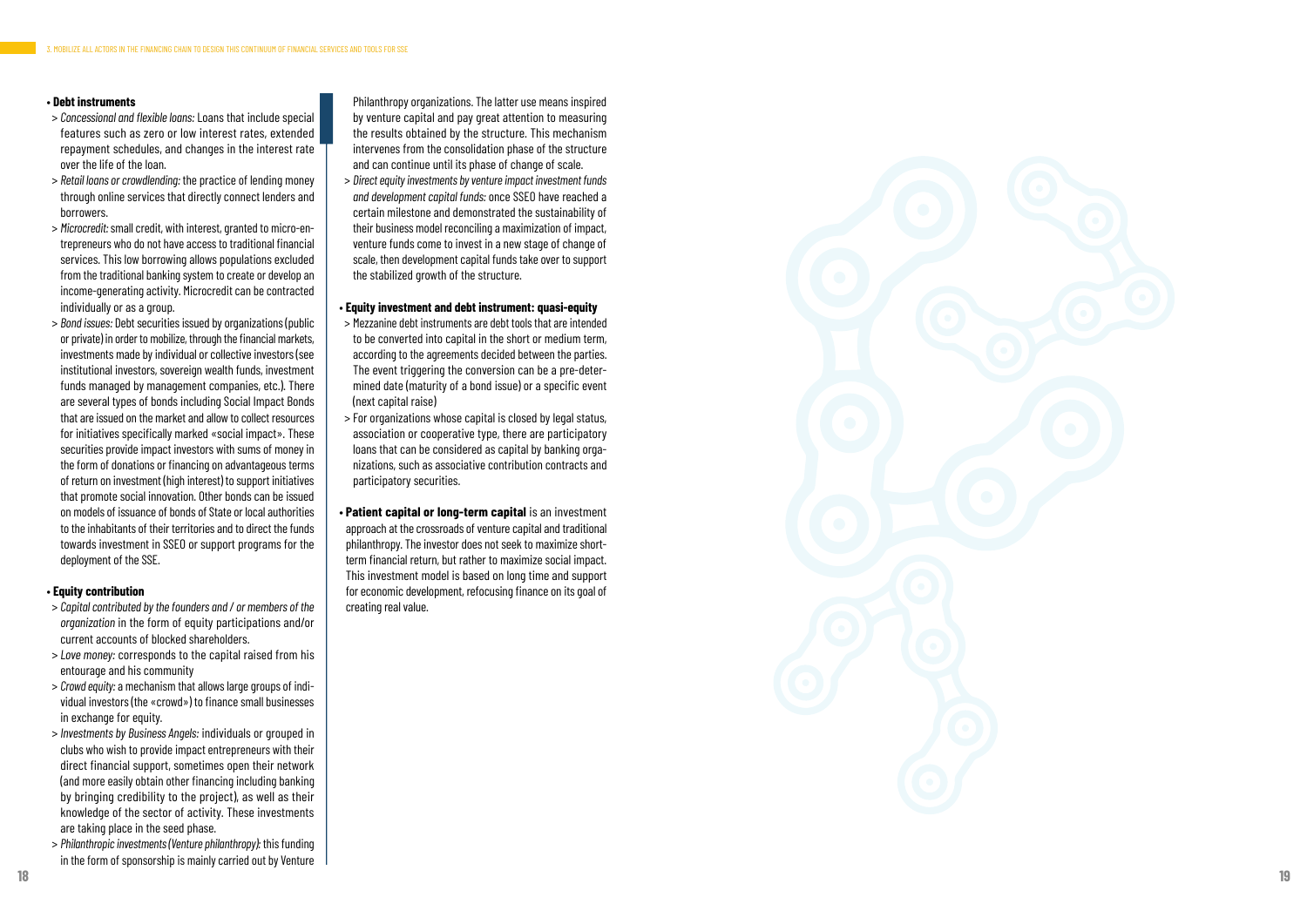#### • **Debt instruments**

- > *Concessional and flexible loans:* Loans that include special features such as zero or low interest rates, extended repayment schedules, and changes in the interest rate over the life of the loan.
- > *Retail loans or crowdlending:* the practice of lending money through online services that directly connect lenders and borrowers.
- > *Microcredit:* small credit, with interest, granted to micro-en trepreneurs who do not have access to traditional financial services. This low borrowing allows populations excluded from the traditional banking system to create or develop an income-generating activity. Microcredit can be contracted individually or as a group.
- > *Bond issues:* Debt securities issued by organizations (public or private) in order to mobilize, through the financial markets, investments made by individual or collective investors (see institutional investors, sovereign wealth funds, investment funds managed by management companies, etc.). There are several types of bonds including Social Impact Bonds that are issued on the market and allow to collect resources for initiatives specifically marked «social impact». These securities provide impact investors with sums of money in the form of donations or financing on advantageous terms of return on investment (high interest) to support initiatives that promote social innovation. Other bonds can be issued on models of issuance of bonds of State or local authorities to the inhabitants of their territories and to direct the funds towards investment in SSEO or support programs for the deployment of the SSE.

#### • **Equity contribution**

- > *Capital contributed by the founders and / or members of the organization* in the form of equity participations and/or current accounts of blocked shareholders.
- > *Love money:* corresponds to the capital raised from his entourage and his community
- > *Crowd equity:* a mechanism that allows large groups of indi vidual investors (the «crowd») to finance small businesses in exchange for equity.
- > *Investments by Business Angels:* individuals or grouped in clubs who wish to provide impact entrepreneurs with their direct financial support, sometimes open their network (and more easily obtain other financing including banking by bringing credibility to the project), as well as their knowledge of the sector of activity. These investments are taking place in the seed phase.
- > *Philanthropic investments (Venture philanthropy):* this funding in the form of sponsorship is mainly carried out by Venture

Philanthropy organizations. The latter use means inspired by venture capital and pay great attention to measuring the results obtained by the structure. This mechanism intervenes from the consolidation phase of the structure and can continue until its phase of change of scale.

 > *Direct equity investments by venture impact investment funds and development capital funds:* once SSEO have reached a certain milestone and demonstrated the sustainability of their business model reconciling a maximization of impact, venture funds come to invest in a new stage of change of scale, then development capital funds take over to support the stabilized growth of the structure.

#### • **Equity investment and debt instrument: quasi-equity**

- > Mezzanine debt instruments are debt tools that are intended to be converted into capital in the short or medium term, according to the agreements decided between the parties. The event triggering the conversion can be a pre-deter mined date (maturity of a bond issue) or a specific event (next capital raise)
- > For organizations whose capital is closed by legal status, association or cooperative type, there are participatory loans that can be considered as capital by banking orga nizations, such as associative contribution contracts and participatory securities.
- **Patient capital or long-term capital** is an investment approach at the crossroads of venture capital and traditional philanthropy. The investor does not seek to maximize shortterm financial return, but rather to maximize social impact. This investment model is based on long time and support for economic development, refocusing finance on its goal of creating real value.

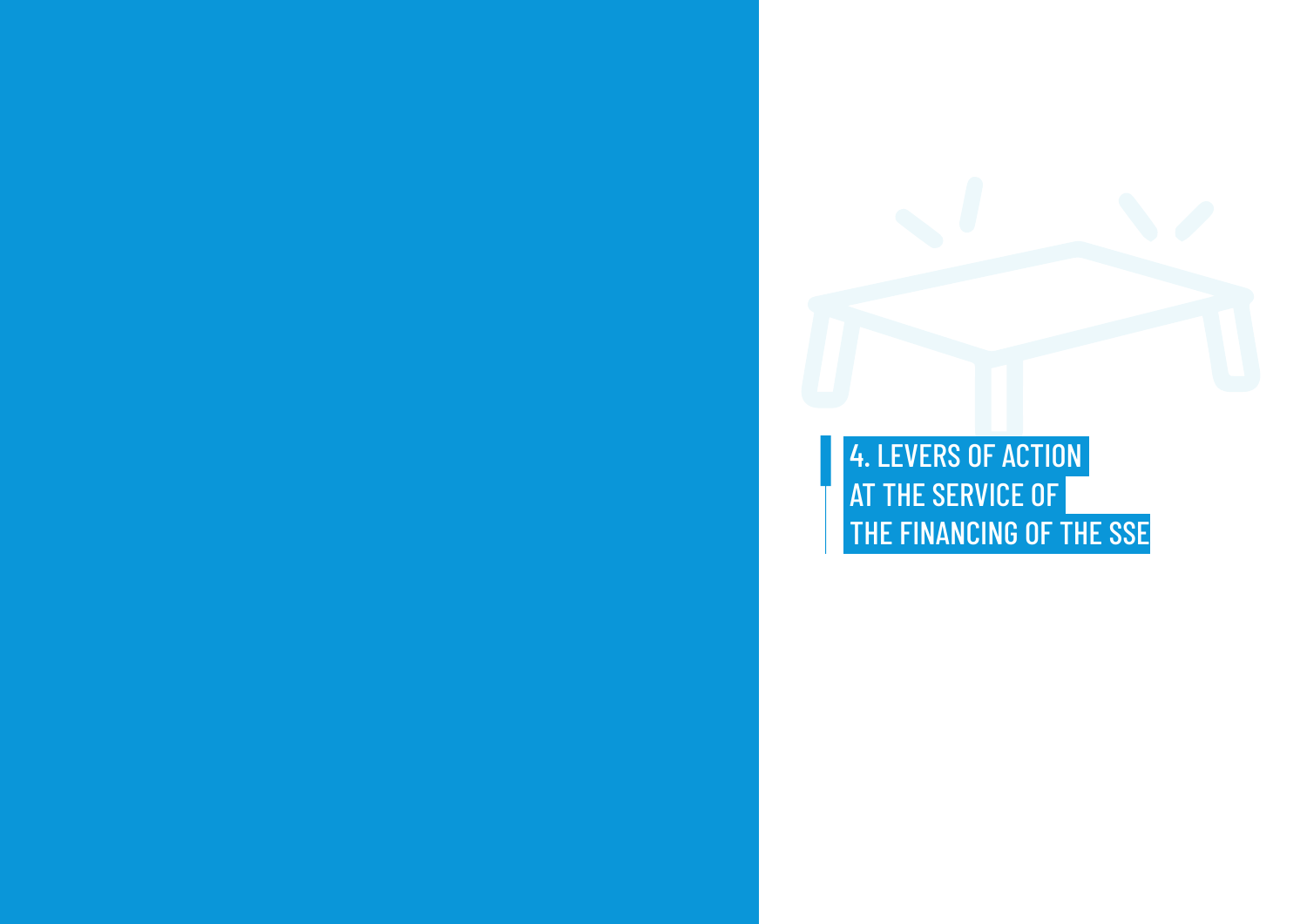4. LEVERS OF ACTION **AT THE SERVICE OF** 

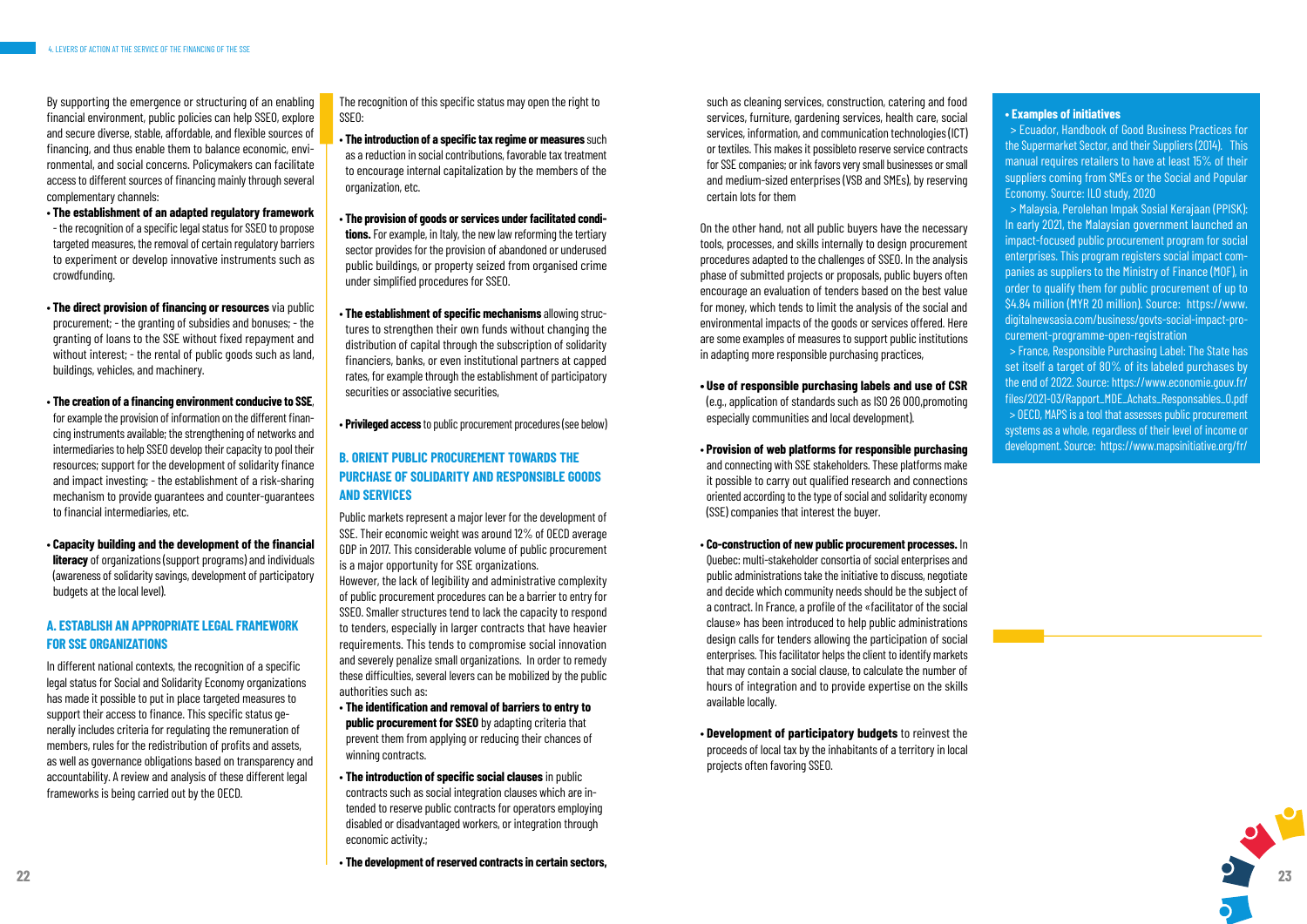

By supporting the emergence or structuring of an enabling financial environment, public policies can help SSEO, explore and secure diverse, stable, affordable, and flexible sources of financing, and thus enable them to balance economic, environmental, and social concerns. Policymakers can facilitate access to different sources of financing mainly through several complementary channels:

- **The establishment of an adapted regulatory framework** - the recognition of a specific legal status for SSEO to propose targeted measures, the removal of certain regulatory barriers to experiment or develop innovative instruments such as crowdfunding.
- **The direct provision of financing or resources** via public procurement; - the granting of subsidies and bonuses; - the granting of loans to the SSE without fixed repayment and without interest; - the rental of public goods such as land, buildings, vehicles, and machinery.
- **The creation of a financing environment conducive to SSE**, for example the provision of information on the different financing instruments available; the strengthening of networks and intermediaries to help SSEO develop their capacity to pool their resources; support for the development of solidarity finance and impact investing; - the establishment of a risk-sharing mechanism to provide guarantees and counter-guarantees to financial intermediaries, etc.
- **Capacity building and the development of the financial literacy** of organizations (support programs) and individuals (awareness of solidarity savings, development of participatory budgets at the local level).

#### **A. ESTABLISH AN APPROPRIATE LEGAL FRAMEWORK FOR SSE ORGANIZATIONS**

In different national contexts, the recognition of a specific legal status for Social and Solidarity Economy organizations has made it possible to put in place targeted measures to support their access to finance. This specific status generally includes criteria for regulating the remuneration of members, rules for the redistribution of profits and assets, as well as governance obligations based on transparency and accountability. A review and analysis of these different legal frameworks is being carried out by the OECD.

The recognition of this specific status may open the right to SSEO:

- **The introduction of a specific tax regime or measures** such as a reduction in social contributions, favorable tax treatment to encourage internal capitalization by the members of the organization, etc.
- **The provision of goods or services under facilitated conditions.** For example, in Italy, the new law reforming the tertiary sector provides for the provision of abandoned or underused public buildings, or property seized from organised crime under simplified procedures for SSEO.
- **The establishment of specific mechanisms** allowing structures to strengthen their own funds without changing the distribution of capital through the subscription of solidarity financiers, banks, or even institutional partners at capped rates, for example through the establishment of participatory securities or associative securities,

• **Privileged access** to public procurement procedures (see below)

### **B. ORIENT PUBLIC PROCUREMENT TOWARDS THE PURCHASE OF SOLIDARITY AND RESPONSIBLE GOODS AND SERVICES**

Public markets represent a major lever for the development of SSE. Their economic weight was around 12% of OECD average GDP in 2017. This considerable volume of public procurement is a major opportunity for SSE organizations. However, the lack of legibility and administrative complexity of public procurement procedures can be a barrier to entry for SSEO. Smaller structures tend to lack the capacity to respond to tenders, especially in larger contracts that have heavier requirements. This tends to compromise social innovation and severely penalize small organizations. In order to remedy these difficulties, several levers can be mobilized by the public authorities such as:

- **The identification and removal of barriers to entry to public procurement for SSEO** by adapting criteria that prevent them from applying or reducing their chances of winning contracts.
- **The introduction of specific social clauses** in public contracts such as social integration clauses which are intended to reserve public contracts for operators employing disabled or disadvantaged workers, or integration through economic activity.;
- **The development of reserved contracts in certain sectors,**

such as cleaning services, construction, catering and food services, furniture, gardening services, health care, social services, information, and communication technologies (ICT) or textiles. This makes it possibleto reserve service contracts for SSE companies; or ink favors very small businesses or small and medium-sized enterprises (VSB and SMEs), by reserving certain lots for them

On the other hand, not all public buyers have the necessary tools, processes, and skills internally to design procurement procedures adapted to the challenges of SSEO. In the analysis phase of submitted projects or proposals, public buyers often encourage an evaluation of tenders based on the best value for money, which tends to limit the analysis of the social and environmental impacts of the goods or services offered. Here are some examples of measures to support public institutions in adapting more responsible purchasing practices,

- **Use of responsible purchasing labels and use of CSR**  (e.g., application of standards such as ISO 26 000,promoting especially communities and local development).
- **Provision of web platforms for responsible purchasing**  and connecting with SSE stakeholders. These platforms make it possible to carry out qualified research and connections oriented according to the type of social and solidarity economy (SSE) companies that interest the buyer.
- **Co-construction of new public procurement processes.** In Quebec: multi-stakeholder consortia of social enterprises and public administrations take the initiative to discuss, negotiate and decide which community needs should be the subject of a contract. In France, a profile of the «facilitator of the social clause» has been introduced to help public administrations design calls for tenders allowing the participation of social enterprises. This facilitator helps the client to identify markets that may contain a social clause, to calculate the number of hours of integration and to provide expertise on the skills available locally.
- **Development of participatory budgets** to reinvest the proceeds of local tax by the inhabitants of a territory in local projects often favoring SSEO.

#### **• Examples of initiatives**

 > Ecuador, Handbook of Good Business Practices for the Supermarket Sector, and their Suppliers (2014). This manual requires retailers to have at least 15% of their suppliers coming from SMEs or the Social and Popular Economy. Source: ILO study, 2020

 > Malaysia, Perolehan Impak Sosial Kerajaan (PPISK): In early 2021, the Malaysian government launched an impact-focused public procurement program for social enterprises. This program registers social impact companies as suppliers to the Ministry of Finance (MOF), in order to qualify them for public procurement of up to \$4.84 million (MYR 20 million). Source: https://www. digitalnewsasia.com/business/govts-social-impact-procurement-programme-open-registration

 > France, Responsible Purchasing Label: The State has set itself a target of 80% of its labeled purchases by the end of 2022. Source: https://www.economie.gouv.fr/ files/2021-03/Rapport\_MDE\_Achats\_Responsables\_0.pdf

 > OECD, MAPS is a tool that assesses public procurement systems as a whole, regardless of their level of income or development. Source: https://www.mapsinitiative.org/fr/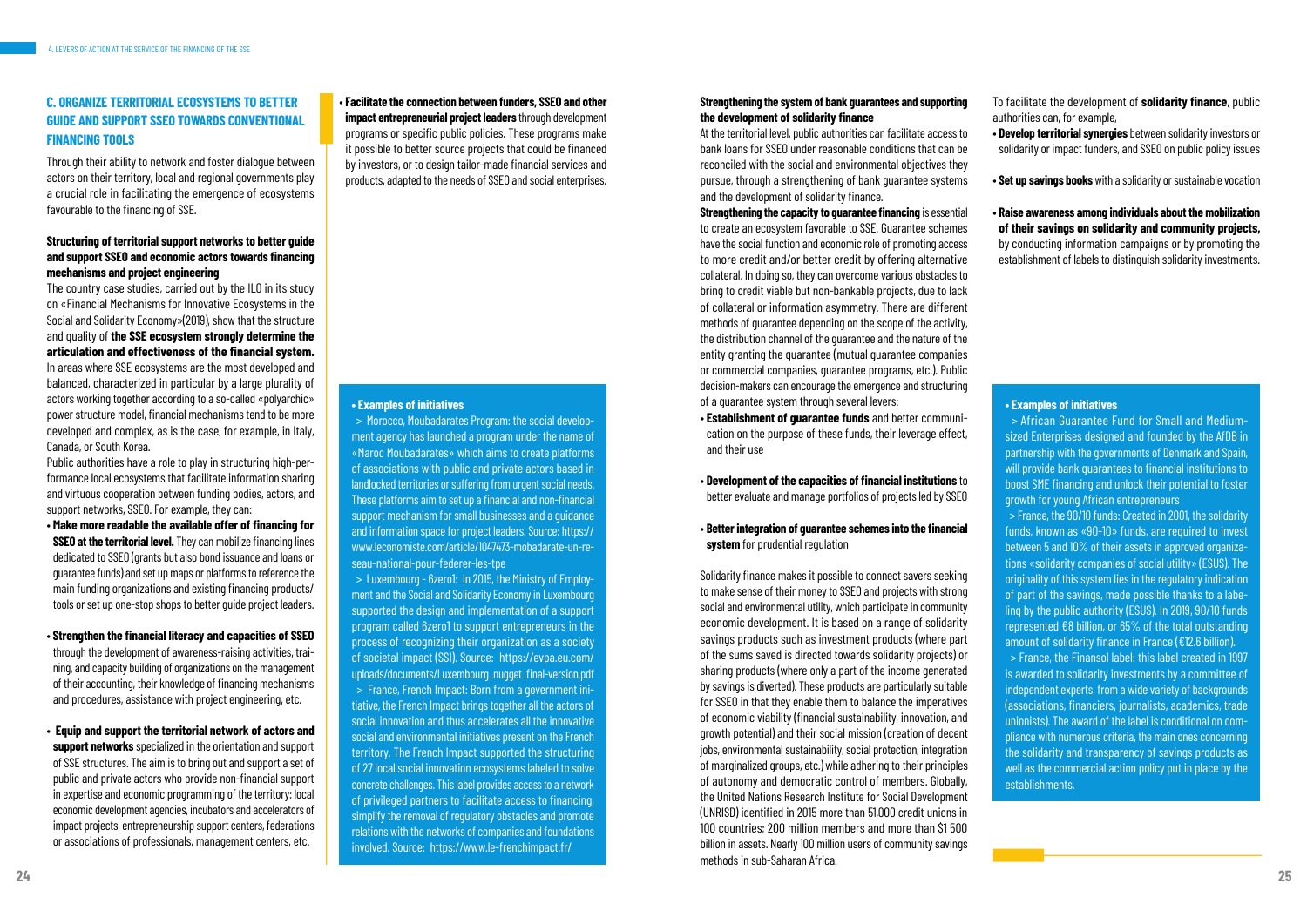### **C. ORGANIZE TERRITORIAL ECOSYSTEMS TO BETTER GUIDE AND SUPPORT SSEO TOWARDS CONVENTIONAL FINANCING TOOLS**

Through their ability to network and foster dialogue between actors on their territory, local and regional governments play a crucial role in facilitating the emergence of ecosystems favourable to the financing of SSE.

#### **Structuring of territorial support networks to better guide and support SSEO and economic actors towards financing mechanisms and project engineering**

The country case studies, carried out by the ILO in its study on «Financial Mechanisms for Innovative Ecosystems in the Social and Solidarity Economy»(2019), show that the structure and quality of **the SSE ecosystem strongly determine the articulation and effectiveness of the financial system.** In areas where SSE ecosystems are the most developed and balanced, characterized in particular by a large plurality of actors working together according to a so-called «polyarchic» power structure model, financial mechanisms tend to be more developed and complex, as is the case, for example, in Italy, Canada, or South Korea.

Public authorities have a role to play in structuring high-performance local ecosystems that facilitate information sharing and virtuous cooperation between funding bodies, actors, and support networks, SSEO. For example, they can:

- **Make more readable the available offer of financing for SSEO at the territorial level.** They can mobilize financing lines dedicated to SSEO (grants but also bond issuance and loans or guarantee funds) and set up maps or platforms to reference the main funding organizations and existing financing products/ tools or set up one-stop shops to better guide project leaders.
- **Strengthen the financial literacy and capacities of SSEO**  through the development of awareness-raising activities, training, and capacity building of organizations on the management of their accounting, their knowledge of financing mechanisms and procedures, assistance with project engineering, etc.
- **Equip and support the territorial network of actors and support networks** specialized in the orientation and support of SSE structures. The aim is to bring out and support a set of public and private actors who provide non-financial support in expertise and economic programming of the territory: local economic development agencies, incubators and accelerators of impact projects, entrepreneurship support centers, federations or associations of professionals, management centers, etc.

• **Facilitate the connection between funders, SSEO and other impact entrepreneurial project leaders** through development programs or specific public policies. These programs make it possible to better source projects that could be financed by investors, or to design tailor-made financial services and products, adapted to the needs of SSEO and social enterprises.

#### **Strengthening the system of bank guarantees and supporting the development of solidarity finance**

At the territorial level, public authorities can facilitate access to bank loans for SSEO under reasonable conditions that can be reconciled with the social and environmental objectives they pursue, through a strengthening of bank guarantee systems and the development of solidarity finance.

**Strengthening the capacity to guarantee financing** is essential to create an ecosystem favorable to SSE. Guarantee schemes have the social function and economic role of promoting access to more credit and/or better credit by offering alternative collateral. In doing so, they can overcome various obstacles to bring to credit viable but non-bankable projects, due to lack of collateral or information asymmetry. There are different methods of guarantee depending on the scope of the activity, the distribution channel of the guarantee and the nature of the entity granting the guarantee (mutual guarantee companies or commercial companies, guarantee programs, etc.). Public decision-makers can encourage the emergence and structuring of a guarantee system through several levers:

- **Establishment of guarantee funds** and better communication on the purpose of these funds, their leverage effect, and their use
- **Development of the capacities of financial institutions** to better evaluate and manage portfolios of projects led by SSEO
- **Better integration of guarantee schemes into the financial system** for prudential regulation

Solidarity finance makes it possible to connect savers seeking to make sense of their money to SSEO and projects with strong social and environmental utility, which participate in community economic development. It is based on a range of solidarity savings products such as investment products (where part of the sums saved is directed towards solidarity projects) or sharing products (where only a part of the income generated by savings is diverted). These products are particularly suitable for SSEO in that they enable them to balance the imperatives of economic viability (financial sustainability, innovation, and growth potential) and their social mission (creation of decent jobs, environmental sustainability, social protection, integration of marginalized groups, etc.) while adhering to their principles of autonomy and democratic control of members. Globally, the United Nations Research Institute for Social Development (UNRISD) identified in 2015 more than 51,000 credit unions in 100 countries; 200 million members and more than \$1 500 billion in assets. Nearly 100 million users of community savings methods in sub-Saharan Africa.

To facilitate the development of **solidarity finance**, public authorities can, for example,

- **Develop territorial synergies** between solidarity investors or solidarity or impact funders, and SSEO on public policy issues
- **Set up savings books** with a solidarity or sustainable vocation
- **Raise awareness among individuals about the mobilization of their savings on solidarity and community projects,** by conducting information campaigns or by promoting the establishment of labels to distinguish solidarity investments.

#### **• Examples of initiatives**

 > Morocco, Moubadarates Program: the social development agency has launched a program under the name of «Maroc Moubadarates» which aims to create platforms of associations with public and private actors based in landlocked territories or suffering from urgent social needs. These platforms aim to set up a financial and non-financial support mechanism for small businesses and a guidance and information space for project leaders. Source: https:// www.leconomiste.com/article/1047473-mobadarate-un-reseau-national-pour-federer-les-tpe

 > Luxembourg - 6zero1: In 2015, the Ministry of Employment and the Social and Solidarity Economy in Luxembourg supported the design and implementation of a support program called 6zero1 to support entrepreneurs in the process of recognizing their organization as a society of societal impact (SSI). Source: https://evpa.eu.com/ uploads/documents/Luxembourg\_nugget\_final-version.pdf > France, French Impact: Born from a government initiative, the French Impact brings together all the actors of social innovation and thus accelerates all the innovative social and environmental initiatives present on the French territory. The French Impact supported the structuring of 27 local social innovation ecosystems labeled to solve concrete challenges. This label provides access to a network of privileged partners to facilitate access to financing, simplify the removal of regulatory obstacles and promote relations with the networks of companies and foundations involved. Source: https://www.le-frenchimpact.fr/

#### **• Examples of initiatives**

 > African Guarantee Fund for Small and Mediumsized Enterprises designed and founded by the AfDB in partnership with the governments of Denmark and Spain, will provide bank guarantees to financial institutions to boost SME financing and unlock their potential to foster growth for young African entrepreneurs

 > France, the 90/10 funds: Created in 2001, the solidarity funds, known as «90-10» funds, are required to invest between 5 and 10% of their assets in approved organizations «solidarity companies of social utility» (ESUS). The originality of this system lies in the regulatory indication of part of the savings, made possible thanks to a labeling by the public authority (ESUS). In 2019, 90/10 funds represented €8 billion, or 65% of the total outstanding amount of solidarity finance in France (€12.6 billion).

 > France, the Finansol label: this label created in 1997 is awarded to solidarity investments by a committee of independent experts, from a wide variety of backgrounds (associations, financiers, journalists, academics, trade unionists). The award of the label is conditional on compliance with numerous criteria, the main ones concerning the solidarity and transparency of savings products as well as the commercial action policy put in place by the establishments.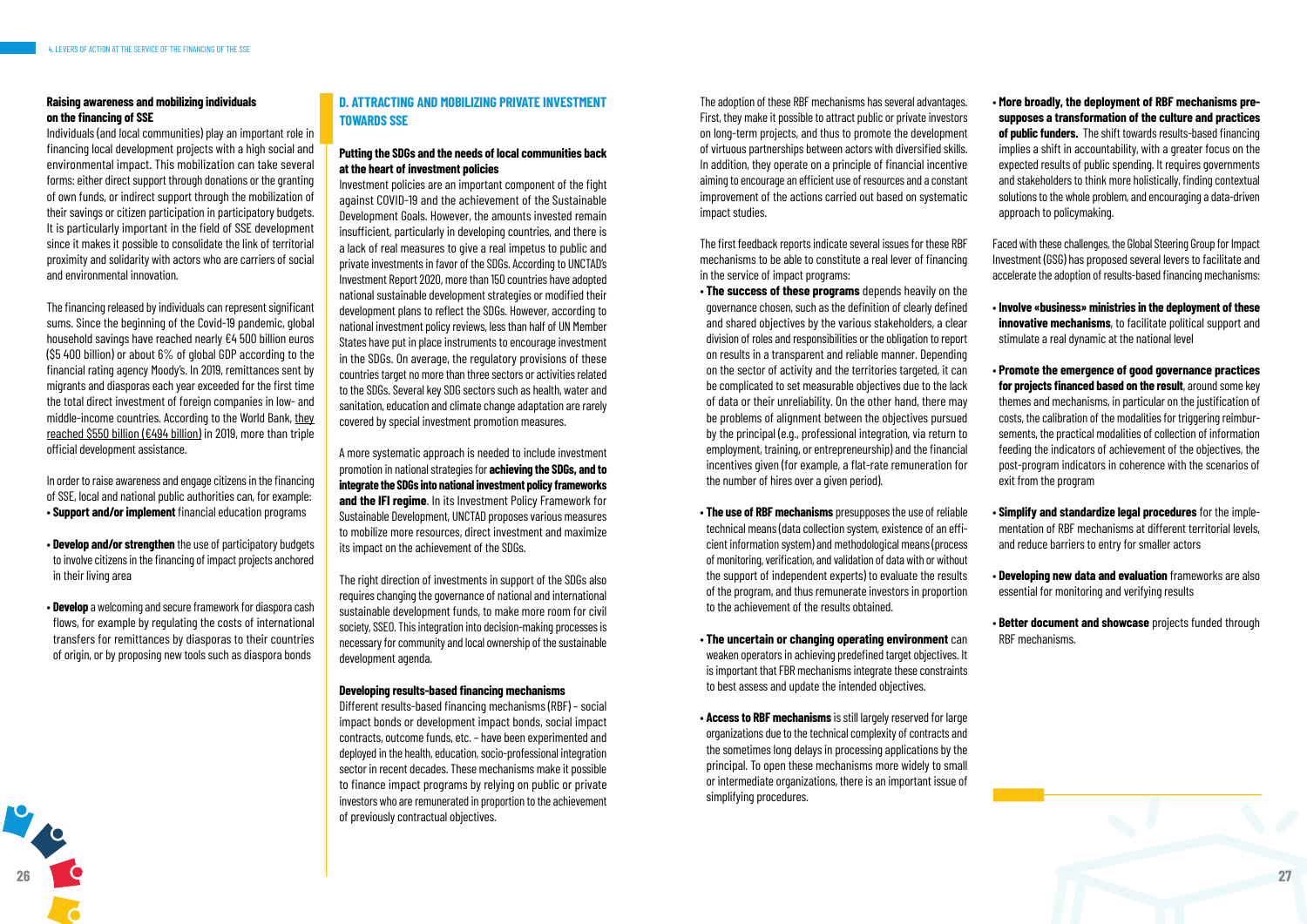**26**

#### **Raising awareness and mobilizing individuals on the financing of SSE**

Individuals (and local communities) play an important role in financing local development projects with a high social and environmental impact. This mobilization can take several forms: either direct support through donations or the granting of own funds, or indirect support through the mobilization of their savings or citizen participation in participatory budgets. It is particularly important in the field of SSE development since it makes it possible to consolidate the link of territorial proximity and solidarity with actors who are carriers of social and environmental innovation.

The financing released by individuals can represent significant sums. Since the beginning of the Covid-19 pandemic, global household savings have reached nearly €4 500 billion euros (\$5 400 billion) or about 6% of global GDP according to the financial rating agency Moody's. In 2019, remittances sent by migrants and diasporas each year exceeded for the first time the total direct investment of foreign companies in low- and middle-income countries. According to the World Bank, they reached \$550 billion (€494 billion) in 2019, more than triple official development assistance.

In order to raise awareness and engage citizens in the financing of SSE, local and national public authorities can, for example:

- **Support and/or implement** financial education programs
- **Develop and/or strengthen** the use of participatory budgets to involve citizens in the financing of impact projects anchored in their living area
- **Develop** a welcoming and secure framework for diaspora cash flows, for example by regulating the costs of international transfers for remittances by diasporas to their countries of origin, or by proposing new tools such as diaspora bonds

### **D. ATTRACTING AND MOBILIZING PRIVATE INVESTMENT TOWARDS SSE**

#### **Putting the SDGs and the needs of local communities back at the heart of investment policies**

Investment policies are an important component of the fight against COVID-19 and the achievement of the Sustainable Development Goals. However, the amounts invested remain insufficient, particularly in developing countries, and there is a lack of real measures to give a real impetus to public and private investments in favor of the SDGs. According to UNCTAD's Investment Report 2020, more than 150 countries have adopted national sustainable development strategies or modified their development plans to reflect the SDGs. However, according to national investment policy reviews, less than half of UN Member States have put in place instruments to encourage investment in the SDGs. On average, the regulatory provisions of these countries target no more than three sectors or activities related to the SDGs. Several key SDG sectors such as health, water and sanitation, education and climate change adaptation are rarely covered by special investment promotion measures.

A more systematic approach is needed to include investment promotion in national strategies for **achieving the SDGs, and to integrate the SDGs into national investment policy frameworks and the IFI regime**. In its Investment Policy Framework for Sustainable Development, UNCTAD proposes various measures to mobilize more resources, direct investment and maximize its impact on the achievement of the SDGs.

The right direction of investments in support of the SDGs also requires changing the governance of national and international sustainable development funds, to make more room for civil society, SSEO. This integration into decision-making processes is necessary for community and local ownership of the sustainable development agenda.

#### **Developing results-based financing mechanisms**

Different results-based financing mechanisms (RBF) – social impact bonds or development impact bonds, social impact contracts, outcome funds, etc. – have been experimented and deployed in the health, education, socio-professional integration sector in recent decades. These mechanisms make it possible to finance impact programs by relying on public or private investors who are remunerated in proportion to the achievement of previously contractual objectives.

The adoption of these RBF mechanisms has several advantages. First, they make it possible to attract public or private investors on long-term projects, and thus to promote the development of virtuous partnerships between actors with diversified skills. In addition, they operate on a principle of financial incentive aiming to encourage an efficient use of resources and a constant improvement of the actions carried out based on systematic impact studies.

The first feedback reports indicate several issues for these RBF mechanisms to be able to constitute a real lever of financing in the service of impact programs:

- **The success of these programs** depends heavily on the governance chosen, such as the definition of clearly defined and shared objectives by the various stakeholders, a clear division of roles and responsibilities or the obligation to report on results in a transparent and reliable manner. Depending on the sector of activity and the territories targeted, it can be complicated to set measurable objectives due to the lack of data or their unreliability. On the other hand, there may be problems of alignment between the objectives pursued by the principal (e.g., professional integration, via return to employment, training, or entrepreneurship) and the financial incentives given (for example, a flat-rate remuneration for the number of hires over a given period).
- **The use of RBF mechanisms** presupposes the use of reliable technical means (data collection system, existence of an efficient information system) and methodological means (process of monitoring, verification, and validation of data with or without the support of independent experts) to evaluate the results of the program, and thus remunerate investors in proportion to the achievement of the results obtained.
- **The uncertain or changing operating environment** can weaken operators in achieving predefined target objectives. It is important that FBR mechanisms integrate these constraints to best assess and update the intended objectives.
- **Access to RBF mechanisms** is still largely reserved for large organizations due to the technical complexity of contracts and the sometimes long delays in processing applications by the principal. To open these mechanisms more widely to small or intermediate organizations, there is an important issue of simplifying procedures.

• **More broadly, the deployment of RBF mechanisms presupposes a transformation of the culture and practices of public funders.** The shift towards results-based financing implies a shift in accountability, with a greater focus on the expected results of public spending. It requires governments and stakeholders to think more holistically, finding contextual solutions to the whole problem, and encouraging a data-driven approach to policymaking.

Faced with these challenges, the Global Steering Group for Impact Investment (GSG) has proposed several levers to facilitate and accelerate the adoption of results-based financing mechanisms:

- **Involve «business» ministries in the deployment of these innovative mechanisms**, to facilitate political support and stimulate a real dynamic at the national level
- **Promote the emergence of good governance practices for projects financed based on the result**, around some key themes and mechanisms, in particular on the justification of costs, the calibration of the modalities for triggering reimbursements, the practical modalities of collection of information feeding the indicators of achievement of the objectives, the post-program indicators in coherence with the scenarios of exit from the program
- **Simplify and standardize legal procedures** for the implementation of RBF mechanisms at different territorial levels, and reduce barriers to entry for smaller actors
- **Developing new data and evaluation** frameworks are also essential for monitoring and verifying results
- **Better document and showcase** projects funded through RBF mechanisms.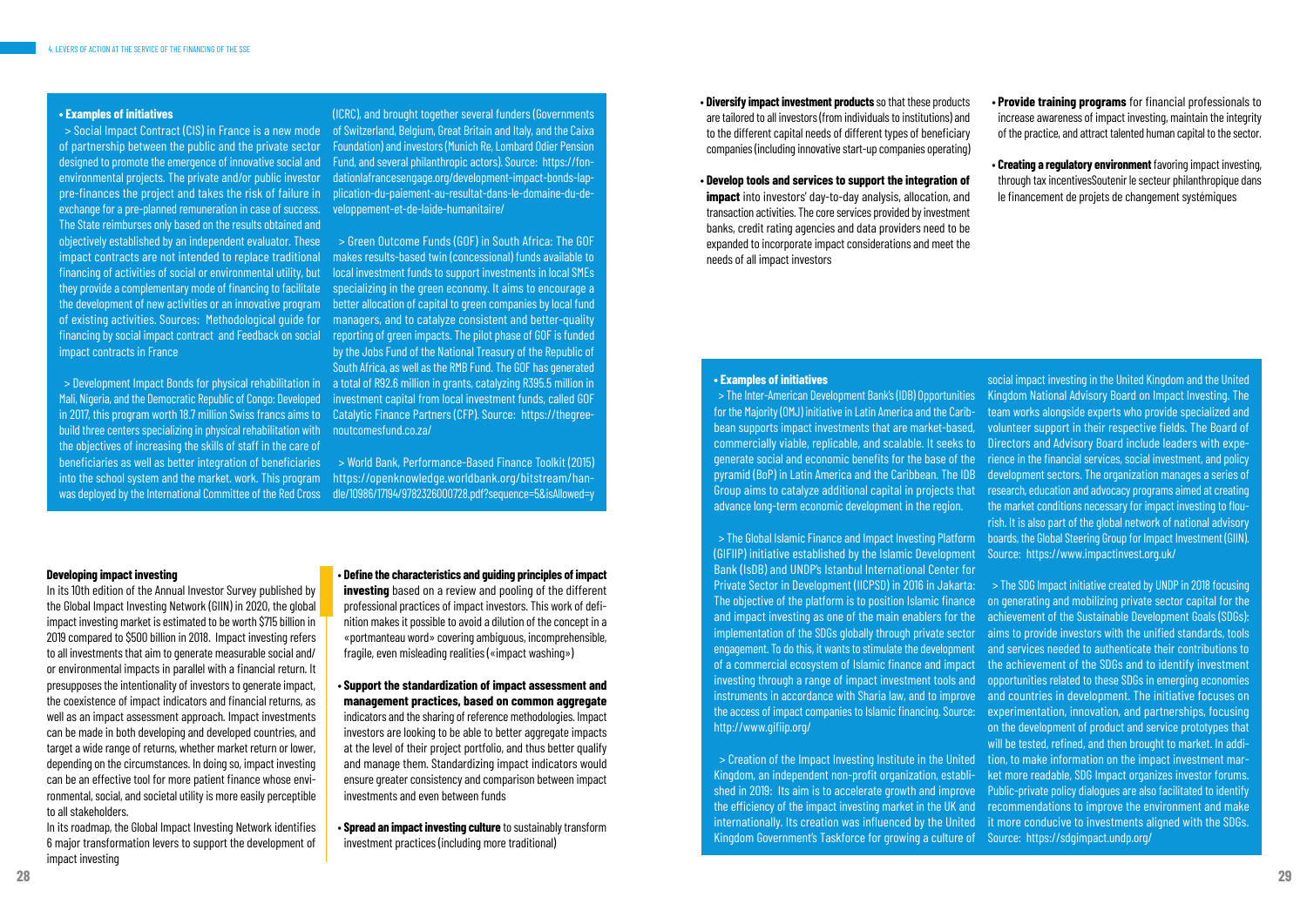#### **• Examples of initiatives**

of partnership between the public and the private sector designed to promote the emergence of innovative social and environmental projects. The private and/or public investor pre-finances the project and takes the risk of failure in exchange for a pre-planned remuneration in case of success. The State reimburses only based on the results obtained and objectively established by an independent evaluator. These impact contracts are not intended to replace traditional financing of activities of social or environmental utility, but they provide a complementary mode of financing to facilitate of existing activities. Sources: Methodological guide for impact contracts in France

 > Social Impact Contract (CIS) in France is a new mode of Switzerland, Belgium, Great Britain and Italy, and the Caixa (ICRC), and brought together several funders (Governments Foundation) and investors (Munich Re, Lombard Odier Pension Fund, and several philanthropic actors). Source: https://fondationlafrancesengage.org/development-impact-bonds-lapplication-du-paiement-au-resultat-dans-le-domaine-du-developpement-et-de-laide-humanitaire/

Mali, Nigeria, and the Democratic Republic of Congo: Developed build three centers specializing in physical rehabilitation with the objectives of increasing the skills of staff in the care of beneficiaries as well as better integration of beneficiaries into the school system and the market. work. This program was deployed by the International Committee of the Red Cross

the development of new activities or an innovative program better allocation of capital to green companies by local fund financing by social impact contract and Feedback on social reporting of green impacts. The pilot phase of GOF is funded > Development Impact Bonds for physical rehabilitation in a total of R92.6 million in grants, catalyzing R395.5 million in in 2017, this program worth 18.7 million Swiss francs aims to Catalytic Finance Partners (CFP). Source: https://thegree- > Green Outcome Funds (GOF) in South Africa: The GOF makes results-based twin (concessional) funds available to local investment funds to support investments in local SMEs specializing in the green economy. It aims to encourage a managers, and to catalyze consistent and better-quality by the Jobs Fund of the National Treasury of the Republic of South Africa, as well as the RMB Fund. The GOF has generated investment capital from local investment funds, called GOF noutcomesfund.co.za/

> > World Bank, Performance-Based Finance Toolkit (2015) https://openknowledge.worldbank.org/bitstream/handle/10986/17194/9782326000728.pdf?sequence=5&isAllowed=y

In its 10th edition of the Annual Investor Survey published by the Global Impact Investing Network (GIIN) in 2020, the global impact investing market is estimated to be worth \$715 billion in 2019 compared to \$500 billion in 2018. Impact investing refers to all investments that aim to generate measurable social and/ or environmental impacts in parallel with a financial return. It presupposes the intentionality of investors to generate impact, the coexistence of impact indicators and financial returns, as well as an impact assessment approach. Impact investments can be made in both developing and developed countries, and target a wide range of returns, whether market return or lower, depending on the circumstances. In doing so, impact investing can be an effective tool for more patient finance whose environmental, social, and societal utility is more easily perceptible to all stakeholders.

In its roadmap, the Global Impact Investing Network identifies 6 major transformation levers to support the development of impact investing

(GIFIIP) initiative established by the Islamic Development Bank (IsDB) and UNDP's Istanbul International Center for Private Sector in Development (IICPSD) in 2016 in Jakarta: engagement. To do this, it wants to stimulate the development of a commercial ecosystem of Islamic finance and impact investing through a range of impact investment tools and http://www.gifiip.org/

**• Examples of initiatives** > The Inter-American Development Bank's (IDB) Opportunities for the Majority (OMJ) initiative in Latin America and the Caribbean supports impact investments that are market-based, commercially viable, replicable, and scalable. It seeks to generate social and economic benefits for the base of the pyramid (BoP) in Latin America and the Caribbean. The IDB Group aims to catalyze additional capital in projects that advance long-term economic development in the region. > The Global Islamic Finance and Impact Investing Platform social impact investing in the United Kingdom and the United Kingdom National Advisory Board on Impact Investing. The team works alongside experts who provide specialized and volunteer support in their respective fields. The Board of Directors and Advisory Board include leaders with experience in the financial services, social investment, and policy development sectors. The organization manages a series of research, education and advocacy programs aimed at creating the market conditions necessary for impact investing to flourish. It is also part of the global network of national advisory boards, the Global Steering Group for Impact Investment (GIIN). Source: https://www.impactinvest.org.uk/

The objective of the platform is to position Islamic finance and impact investing as one of the main enablers for the implementation of the SDGs globally through private sector instruments in accordance with Sharia law, and to improve the access of impact companies to Islamic financing. Source: > Creation of the Impact Investing Institute in the United Kingdom, an independent non-profit organization, established in 2019: Its aim is to accelerate growth and improve the efficiency of the impact investing market in the UK and internationally. Its creation was influenced by the United Kingdom Government's Taskforce for growing a culture of > The SDG Impact initiative created by UNDP in 2018 focusing on generating and mobilizing private sector capital for the achievement of the Sustainable Development Goals (SDGs): aims to provide investors with the unified standards, tools and services needed to authenticate their contributions to the achievement of the SDGs and to identify investment opportunities related to these SDGs in emerging economies and countries in development. The initiative focuses on experimentation, innovation, and partnerships, focusing on the development of product and service prototypes that will be tested, refined, and then brought to market. In addition, to make information on the impact investment market more readable, SDG Impact organizes investor forums. Public-private policy dialogues are also facilitated to identify recommendations to improve the environment and make it more conducive to investments aligned with the SDGs. Source: https://sdgimpact.undp.org/

#### **Developing impact investing**

• **Define the characteristics and guiding principles of impact investing** based on a review and pooling of the different professional practices of impact investors. This work of definition makes it possible to avoid a dilution of the concept in a «portmanteau word» covering ambiguous, incomprehensible, fragile, even misleading realities («impact washing»)

- **Support the standardization of impact assessment and management practices, based on common aggregate** indicators and the sharing of reference methodologies. Impact investors are looking to be able to better aggregate impacts at the level of their project portfolio, and thus better qualify and manage them. Standardizing impact indicators would ensure greater consistency and comparison between impact investments and even between funds
- **Spread an impact investing culture** to sustainably transform investment practices (including more traditional)

• **Diversify impact investment products** so that these products are tailored to all investors (from individuals to institutions) and to the different capital needs of different types of beneficiary companies (including innovative start-up companies operating)

• **Develop tools and services to support the integration of impact** into investors' day-to-day analysis, allocation, and transaction activities. The core services provided by investment banks, credit rating agencies and data providers need to be expanded to incorporate impact considerations and meet the needs of all impact investors

- **Provide training programs** for financial professionals to increase awareness of impact investing, maintain the integrity of the practice, and attract talented human capital to the sector.
- **Creating a regulatory environment** favoring impact investing, through tax incentivesSoutenir le secteur philanthropique dans le financement de projets de changement systémiques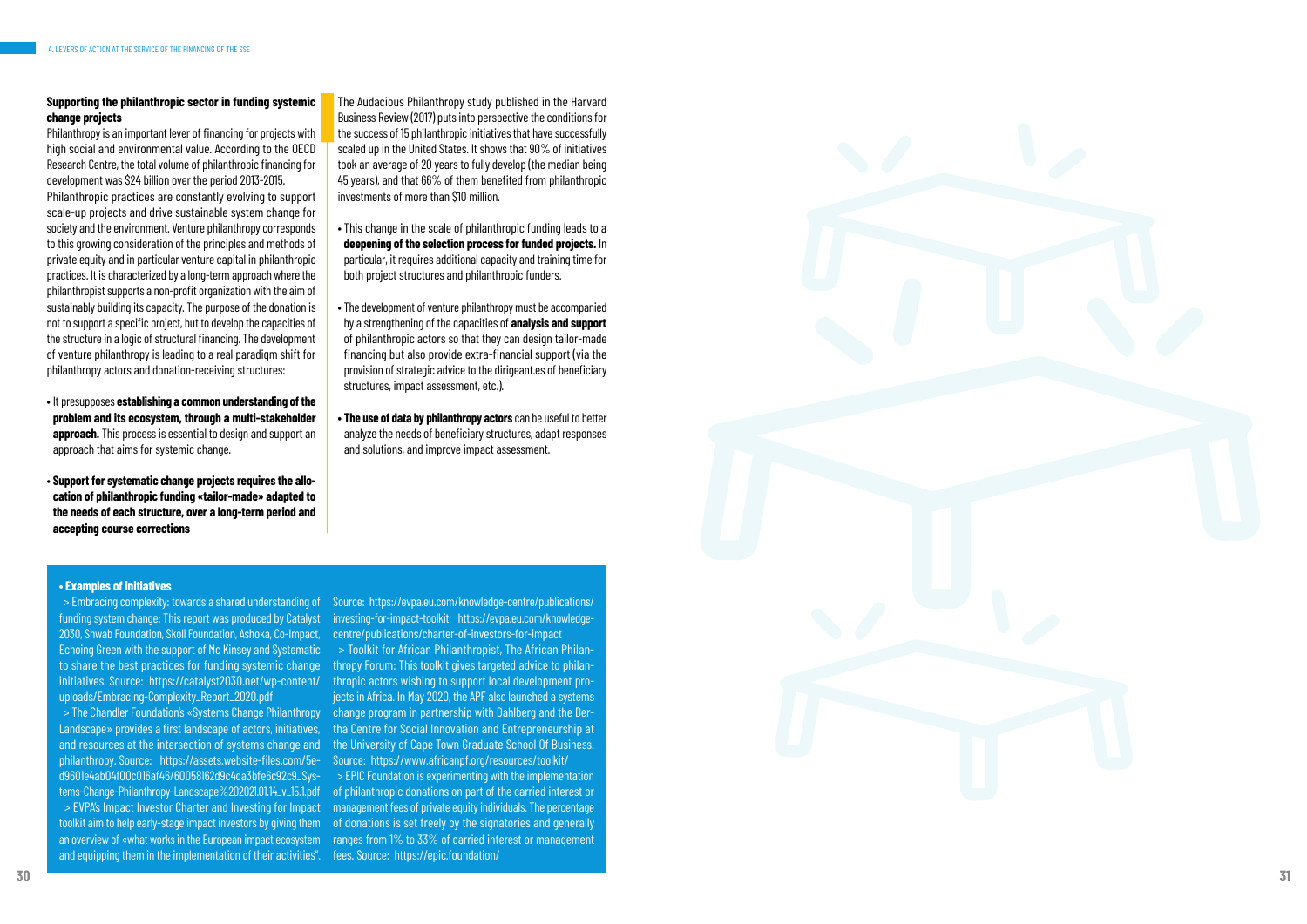

#### **Supporting the philanthropic sector in funding systemic change projects**

Philanthropy is an important lever of financing for projects with high social and environmental value. According to the OECD Research Centre, the total volume of philanthropic financing for development was \$24 billion over the period 2013-2015. Philanthropic practices are constantly evolving to support scale-up projects and drive sustainable system change for society and the environment. Venture philanthropy corresponds to this growing consideration of the principles and methods of private equity and in particular venture capital in philanthropic practices. It is characterized by a long-term approach where the philanthropist supports a non-profit organization with the aim of sustainably building its capacity. The purpose of the donation is not to support a specific project, but to develop the capacities of the structure in a logic of structural financing. The development of venture philanthropy is leading to a real paradigm shift for philanthropy actors and donation-receiving structures:

The Audacious Philanthropy study published in the Harvard Business Review (2017) puts into perspective the conditions for the success of 15 philanthropic initiatives that have successfully scaled up in the United States. It shows that 90% of initiatives took an average of 20 years to fully develop (the median being 45 years), and that 66% of them benefited from philanthropic investments of more than \$10 million.

- It presupposes **establishing a common understanding of the problem and its ecosystem, through a multi-stakeholder approach.** This process is essential to design and support an approach that aims for systemic change.
- **Support for systematic change projects requires the allo cation of philanthropic funding «tailor-made» adapted to the needs of each structure, over a long-term period and accepting course corrections**
- This change in the scale of philanthropic funding leads to a **deepening of the selection process for funded projects.** In particular, it requires additional capacity and training time for both project structures and philanthropic funders.
- The development of venture philanthropy must be accompanied by a strengthening of the capacities of **analysis and support**  of philanthropic actors so that they can design tailor-made financing but also provide extra-financial support (via the provision of strategic advice to the dirigeant.es of beneficiary structures, impact assessment, etc.).
- **The use of data by philanthropy actors** can be useful to better analyze the needs of beneficiary structures, adapt responses and solutions, and improve impact assessment.

#### **• Examples of initiatives**

 > Embracing complexity: towards a shared understanding of funding system change: This report was produced by Catalyst 2030, Shwab Foundation, Skoll Foundation, Ashoka, Co-Impact, Echoing Green with the support of Mc Kinsey and Systematic to share the best practices for funding systemic change initiatives. Source: https://catalyst2030.net/wp-content/ thropic actors wishing to support local development prouploads/Embracing-Complexity\_Report\_2020.pdf

Source: https://evpa.eu.com/knowledge-centre/publications/ investing-for-impact-toolkit; https://evpa.eu.com/knowledgecentre/publications/charter-of-investors-for-impact

 > The Chandler Foundation's «Systems Change Philanthropy Landscape» provides a first landscape of actors, initiatives, and resources at the intersection of systems change and philanthropy. Source: https://assets.website-files.com/5e d9601e4ab04f00c016af46/60058162d9c4da3bfe6c92c9\_Sys tems-Change-Philanthropy-Landscape%202021.01.14\_v\_15.1.pdf > EVPA's Impact Investor Charter and Investing for Impact toolkit aim to help early-stage impact investors by giving them and equipping them in the implementation of their activities". fees. Source: https://epic.foundation/

an overview of «what works in the European impact ecosystem ranges from 1% to 33% of carried interest or management > EPIC Foundation is experimenting with the implementation of philanthropic donations on part of the carried interest or management fees of private equity individuals. The percentage of donations is set freely by the signatories and generally

 > Toolkit for African Philanthropist, The African Philan thropy Forum: This toolkit gives targeted advice to philan jects in Africa. In May 2020, the APF also launched a systems change program in partnership with Dahlberg and the Ber tha Centre for Social Innovation and Entrepreneurship at the University of Cape Town Graduate School Of Business. Source: https://www.africanpf.org/resources/toolkit/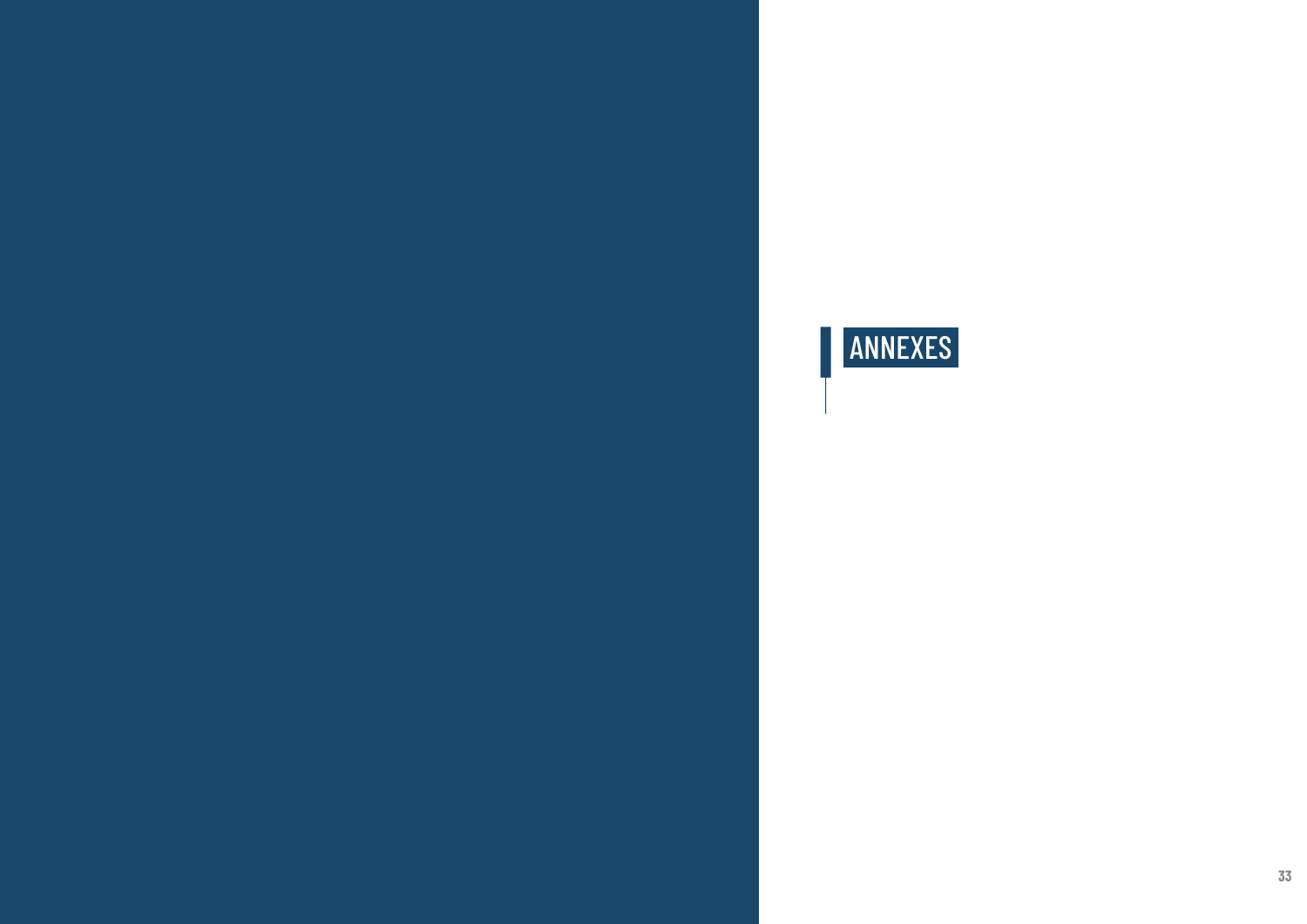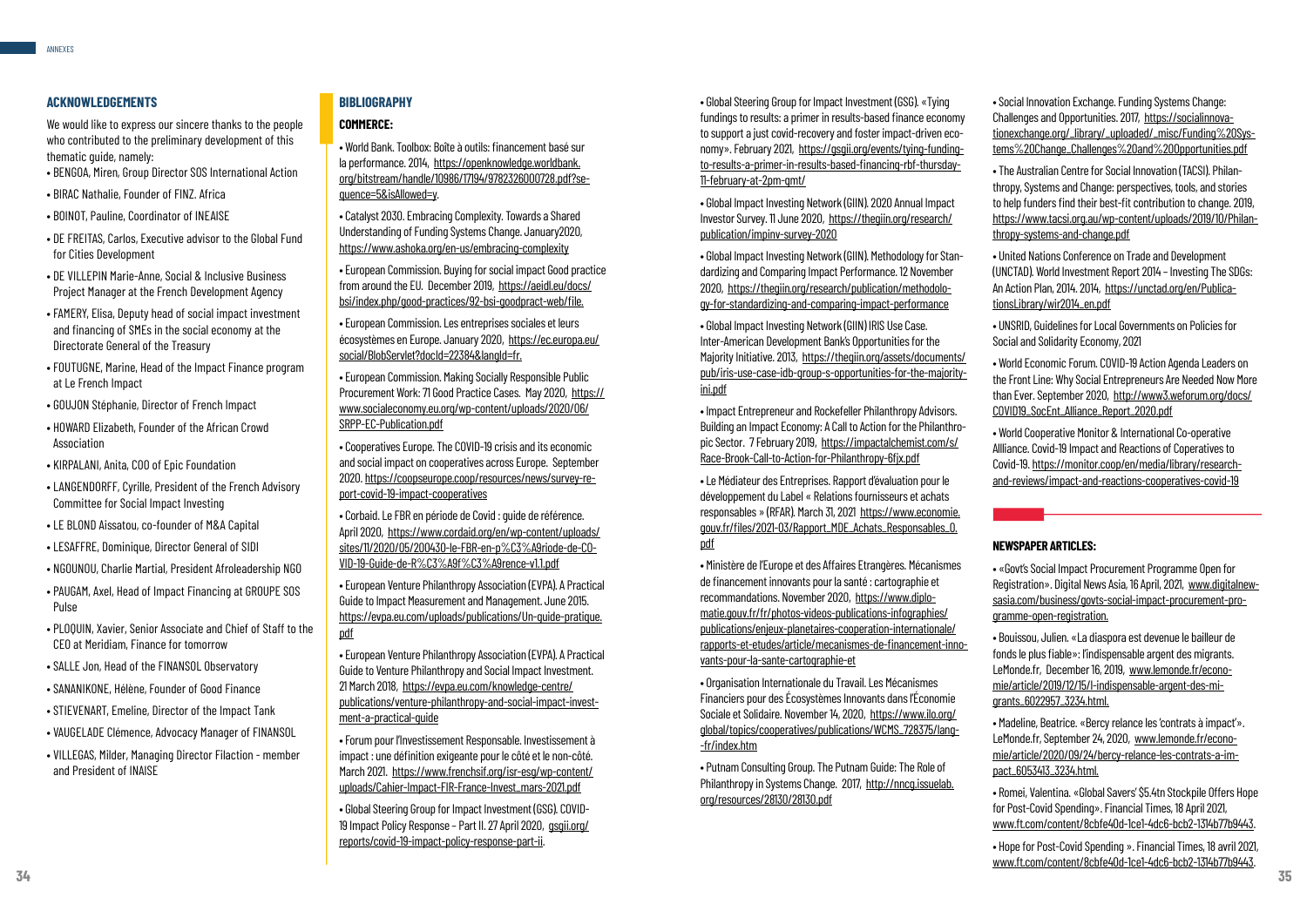#### **ACKNOWLEDGEMENTS**

We would like to express our sincere thanks to the people who contributed to the preliminary development of this thematic guide, namely:

- BENGOA, Miren, Group Director SOS International Action
- BIRAC Nathalie, Founder of FINZ. Africa
- BOINOT, Pauline, Coordinator of INEAISE
- DE FREITAS, Carlos, Executive advisor to the Global Fund for Cities Development
- DE VILLEPIN Marie-Anne, Social & Inclusive Business Project Manager at the French Development Agency
- FAMERY, Elisa, Deputy head of social impact investment and financing of SMEs in the social economy at the Directorate General of the Treasury
- FOUTUGNE, Marine, Head of the Impact Finance program at Le French Impact
- GOUJON Stéphanie, Director of French Impact
- HOWARD Elizabeth, Founder of the African Crowd Association
- KIRPALANI, Anita, COO of Epic Foundation
- LANGENDORFF, Cyrille, President of the French Advisory Committee for Social Impact Investing
- LE BLOND Aissatou, co-founder of M&A Capital
- LESAFFRE, Dominique, Director General of SIDI
- NGOUNOU, Charlie Martial, President Afroleadership NGO
- PAUGAM, Axel, Head of Impact Financing at GROUPE SOS Pulse
- PLOQUIN, Xavier, Senior Associate and Chief of Staff to the CEO at Meridiam, Finance for tomorrow
- SALLE Jon, Head of the FINANSOL Observatory
- SANANIKONE, Hélène, Founder of Good Finance
- STIEVENART, Emeline, Director of the Impact Tank
- VAUGELADE Clémence, Advocacy Manager of FINANSOL
- VILLEGAS, Milder, Managing Director Filaction member and President of INAISE

#### **BIBLIOGRAPHY**

#### **COMMERCE:**

- World Bank. Toolbox: Boîte à outils: financement basé sur la performance. 2014, https://openknowledge.worldbank. org/bitstream/handle/10986/17194/9782326000728.pdf?sequence=5&isAllowed=y.
- Catalyst 2030. Embracing Complexity. Towards a Shared Understanding of Funding Systems Change. January2020, https://www.ashoka.org/en-us/embracing-complexity
- European Commission. Buying for social impact Good practice from around the EU. December 2019, https://aeidl.eu/docs/ bsi/index.php/good-practices/92-bsi-goodpract-web/file.
- European Commission. Les entreprises sociales et leurs écosystèmes en Europe. January 2020, https://ec.europa.eu/ social/BlobServlet?docId=22384&langId=fr.
- European Commission. Making Socially Responsible Public Procurement Work: 71 Good Practice Cases. May 2020, https:// www.socialeconomy.eu.org/wp-content/uploads/2020/06/ SRPP-EC-Publication.pdf
- Cooperatives Europe. The COVID-19 crisis and its economic and social impact on cooperatives across Europe. September 2020. https://coopseurope.coop/resources/news/survey-report-covid-19-impact-cooperatives
- Corbaid. Le FBR en période de Covid : guide de référence. April 2020, https://www.cordaid.org/en/wp-content/uploads/ sites/11/2020/05/200430-le-FBR-en-p%C3%A9riode-de-CO-VID-19-Guide-de-R%C3%A9f%C3%A9rence-v1.1.pdf
- European Venture Philanthropy Association (EVPA). A Practical Guide to Impact Measurement and Management. June 2015. https://evpa.eu.com/uploads/publications/Un-guide-pratique. pdf
- European Venture Philanthropy Association (EVPA). A Practical Guide to Venture Philanthropy and Social Impact Investment. 21 March 2018, https://evpa.eu.com/knowledge-centre/ publications/venture-philanthropy-and-social-impact-investment-a-practical-guide
- Forum pour l'Investissement Responsable. Investissement à impact : une définition exigeante pour le côté et le non-côté. March 2021. https://www.frenchsif.org/isr-esg/wp-content/ uploads/Cahier-Impact-FIR-France-Invest\_mars-2021.pdf
- Global Steering Group for Impact Investment (GSG). COVID-19 Impact Policy Response – Part II. 27 April 2020, gsgii.org/ reports/covid-19-impact-policy-response-part-ii.

• Global Steering Group for Impact Investment (GSG). «Tying fundings to results: a primer in results-based finance economy to support a just covid-recovery and foster impact-driven economy». February 2021, https://gsgii.org/events/tying-fundingto-results-a-primer-in-results-based-financing-rbf-thursday-11-february-at-2pm-gmt/

**34 35** • Hope for Post-Covid Spending ». Financial Times, 18 avril 2021, www.ft.com/content/8cbfe40d-1ce1-4dc6-bcb2-1314b77b9443.

• Global Impact Investing Network (GIIN). 2020 Annual Impact Investor Survey. 11 June 2020, https://thegiin.org/research/ publication/impinv-survey-2020

• Global Impact Investing Network (GIIN). Methodology for Standardizing and Comparing Impact Performance. 12 November 2020, https://thegiin.org/research/publication/methodology-for-standardizing-and-comparing-impact-performance

• Global Impact Investing Network (GIIN) IRIS Use Case. Inter-American Development Bank's Opportunities for the Majority Initiative. 2013, https://thegiin.org/assets/documents/ pub/iris-use-case-idb-group-s-opportunities-for-the-majorityini.pdf

• Impact Entrepreneur and Rockefeller Philanthropy Advisors. Building an Impact Economy: A Call to Action for the Philanthropic Sector. 7 February 2019, https://impactalchemist.com/s/ Race-Brook-Call-to-Action-for-Philanthropy-6fjx.pdf

• Le Médiateur des Entreprises. Rapport d'évaluation pour le développement du Label « Relations fournisseurs et achats responsables » (RFAR). March 31, 2021 https://www.economie. gouv.fr/files/2021-03/Rapport\_MDE\_Achats\_Responsables\_0. pdf

• Ministère de l'Europe et des Affaires Etrangères. Mécanismes de financement innovants pour la santé : cartographie et recommandations. November 2020, https://www.diplomatie.gouv.fr/fr/photos-videos-publications-infographies/ publications/enjeux-planetaires-cooperation-internationale/ rapports-et-etudes/article/mecanismes-de-financement-innovants-pour-la-sante-cartographie-et

• Organisation Internationale du Travail. Les Mécanismes Financiers pour des Écosystèmes Innovants dans l'Économie Sociale et Solidaire. November 14, 2020, https://www.ilo.org/ global/topics/cooperatives/publications/WCMS\_728375/lang- -fr/index.htm

• Putnam Consulting Group. The Putnam Guide: The Role of Philanthropy in Systems Change. 2017, http://nncg.issuelab. org/resources/28130/28130.pdf

• Social Innovation Exchange. Funding Systems Change: Challenges and Opportunities. 2017, https://socialinnovationexchange.org/\_library/\_uploaded/\_misc/Funding%20Systems%20Change\_Challenges%20and%20Opportunities.pdf

• The Australian Centre for Social Innovation (TACSI). Philanthropy, Systems and Change: perspectives, tools, and stories to help funders find their best-fit contribution to change. 2019, https://www.tacsi.org.au/wp-content/uploads/2019/10/Philanthropy-systems-and-change.pdf

• United Nations Conference on Trade and Development (UNCTAD). World Investment Report 2014 – Investing The SDGs: An Action Plan, 2014. 2014, https://unctad.org/en/PublicationsLibrary/wir2014\_en.pdf

• UNSRID, Guidelines for Local Governments on Policies for Social and Solidarity Economy, 2021

• World Economic Forum. COVID-19 Action Agenda Leaders on the Front Line: Why Social Entrepreneurs Are Needed Now More than Ever. September 2020, http://www3.weforum.org/docs/ COVID19\_SocEnt\_Alliance\_Report\_2020.pdf

• World Cooperative Monitor & International Co-operative Allliance. Covid-19 Impact and Reactions of Coperatives to Covid-19. https://monitor.coop/en/media/library/researchand-reviews/impact-and-reactions-cooperatives-covid-19

### **NEWSPAPER ARTICLES:**

• «Govt's Social Impact Procurement Programme Open for Registration». Digital News Asia, 16 April, 2021, www.digitalnewsasia.com/business/govts-social-impact-procurement-programme-open-registration.

• Bouissou, Julien. «La diaspora est devenue le bailleur de fonds le plus fiable»: l'indispensable argent des migrants. LeMonde.fr, December 16, 2019, www.lemonde.fr/economie/article/2019/12/15/l-indispensable-argent-des-migrants\_6022957\_3234.html.

• Madeline, Beatrice. «Bercy relance les 'contrats à impact'». LeMonde.fr, September 24, 2020, www.lemonde.fr/economie/article/2020/09/24/bercy-relance-les-contrats-a-impact\_6053413\_3234.html.

• Romei, Valentina. «Global Savers' \$5.4tn Stockpile Offers Hope for Post-Covid Spending». Financial Times, 18 April 2021, www.ft.com/content/8cbfe40d-1ce1-4dc6-bcb2-1314b77b9443.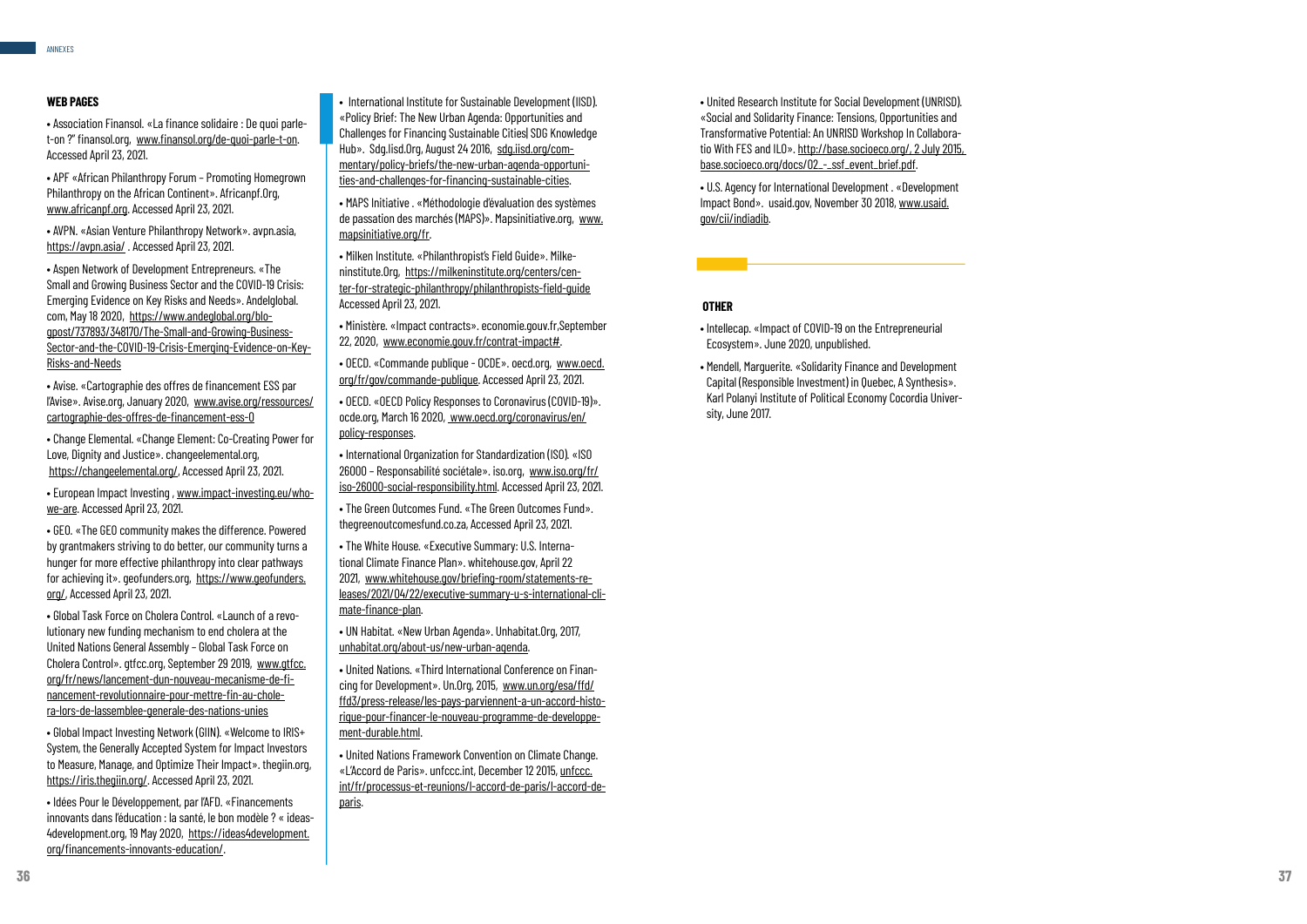#### **WEB PAGES**

• Association Finansol. «La finance solidaire : De quoi parlet-on ?" finansol.org, www.finansol.org/de-quoi-parle-t-on. Accessed April 23, 2021.

• APF «African Philanthropy Forum – Promoting Homegrown Philanthropy on the African Continent». Africanpf.Org, www.africanpf.org. Accessed April 23, 2021.

• AVPN. «Asian Venture Philanthropy Network». avpn.asia, https://avpn.asia/ . Accessed April 23, 2021.

• European Impact Investing , www.impact-investing.eu/whowe-are. Accessed April 23, 2021.

• Aspen Network of Development Entrepreneurs. «The Small and Growing Business Sector and the COVID-19 Crisis: Emerging Evidence on Key Risks and Needs». Andelglobal. com, May 18 2020, https://www.andeglobal.org/blogpost/737893/348170/The-Small-and-Growing-Business-Sector-and-the-COVID-19-Crisis-Emerging-Evidence-on-Key-Risks-and-Needs

• Avise. «Cartographie des offres de financement ESS par l'Avise». Avise.org, January 2020, www.avise.org/ressources/ cartographie-des-offres-de-financement-ess-0

• Global Impact Investing Network (GIIN). «Welcome to IRIS+ System, the Generally Accepted System for Impact Investors to Measure, Manage, and Optimize Their Impact». thegiin.org, https://iris.thegiin.org/. Accessed April 23, 2021.

• Change Elemental. «Change Element: Co-Creating Power for Love, Dignity and Justice». changeelemental.org, https://changeelemental.org/, Accessed April 23, 2021.

• GEO. «The GEO community makes the difference. Powered by grantmakers striving to do better, our community turns a hunger for more effective philanthropy into clear pathways for achieving it». geofunders.org, https://www.geofunders. org/, Accessed April 23, 2021.

• Global Task Force on Cholera Control. «Launch of a revo lutionary new funding mechanism to end cholera at the United Nations General Assembly – Global Task Force on Cholera Control». gtfcc.org, September 29 2019, www.gtfcc. org/fr/news/lancement-dun-nouveau-mecanisme-de-fi nancement-revolutionnaire-pour-mettre-fin-au-chole ra-lors-de-lassemblee-generale-des-nations-unies

• Idées Pour le Développement, par l'AFD. «Financements innovants dans l'éducation : la santé, le bon modèle ? « ideas - 4development.org, 19 May 2020, https://ideas4development. org/financements-innovants-education/ .

- International Institute for Sustainable Development (IISD). «Policy Brief: The New Urban Agenda: Opportunities and Challenges for Financing Sustainable Cities| SDG Knowledge Hub». Sdg.lisd.Org, August 24 2016, sdg.iisd.org/commentary/policy-briefs/the-new-urban-agenda-opportuni ties-and-challenges-for-financing-sustainable-cities .
- MAPS Initiative . «Méthodologie d'évaluation des systèmes de passation des marchés (MAPS)». Mapsinitiative.org, www. mapsinitiative.org/fr .
- Milken Institute. «Philanthropist's Field Guide». Milke ninstitute. Org, https://milkeninstitute.org/centers/center-for-strategic-philanthropy/philanthropists-field-guide Accessed April 23, 2021.

• Ministère. «Impact contracts». economie.gouv.fr,September 22, 2020, www.economie.gouv.fr/contrat-impact# .

• OECD. «Commande publique - OCDE». oecd.org, www.oecd. org/fr/gov/commande-publique. Accessed April 23, 2021.

• OECD. «OECD Policy Responses to Coronavirus (COVID-19)». ocde.org, March 16 2020, www.oecd.org/coronavirus/en/ policy-responses .

• International Organization for Standardization (ISO). «ISO 26000 – Responsabilité sociétale». iso.org, www.iso.org/fr/ iso-26000-social-responsibility.html. Accessed April 23, 2021.

• The Green Outcomes Fund. «The Green Outcomes Fund». thegreenoutcomesfund.co.za, Accessed April 23, 2021.

• The White House. «Executive Summary: U.S. Interna tional Climate Finance Plan». whitehouse.gov, April 22 2021, www.whitehouse.gov/briefing-room/statements-re leases/2021/04/22/executive-summary-u-s-international-cli mate-finance-plan .

• UN Habitat. «New Urban Agenda». Unhabitat.Org, 2017, unhabitat.org/about-us/new-urban-agenda .

• United Nations. «Third International Conference on Finan cing for Development». Un.Org, 2015, www.un.org/esa/ffd/ ffd3/press-release/les-pays-parviennent-a-un-accord-histo rique-pour-financer-le-nouveau-programme-de-developpe ment-durable.html .

• United Nations Framework Convention on Climate Change. «L'Accord de Paris». unfccc.int, December 12 2015, unfccc. int/fr/processus-et-reunions/l-accord-de-paris/l-accord-deparis.

• United Research Institute for Social Development (UNRISD). «Social and Solidarity Finance: Tensions, Opportunities and Transformative Potential: An UNRISD Workshop In Collabora tio With FES and ILO». http://base.socioeco.org/, 2 July 2015, base.socioeco.org/docs/02\_-\_ssf\_event\_brief.pdf .

• U.S. Agency for International Development . «Development Impact Bond». usaid.gov, November 30 2018, www.usaid. aov/cii/indiadib. .

#### **OTHER**

- Intellecap. «Impact of COVID-19 on the Entrepreneurial Ecosystem». June 2020, unpublished.
- Mendell, Marguerite. «Solidarity Finance and Development Capital (Responsible Investment) in Quebec, A Synthesis». Karl Polanyi Institute of Political Economy Cocordia Univer sity, June 2017.